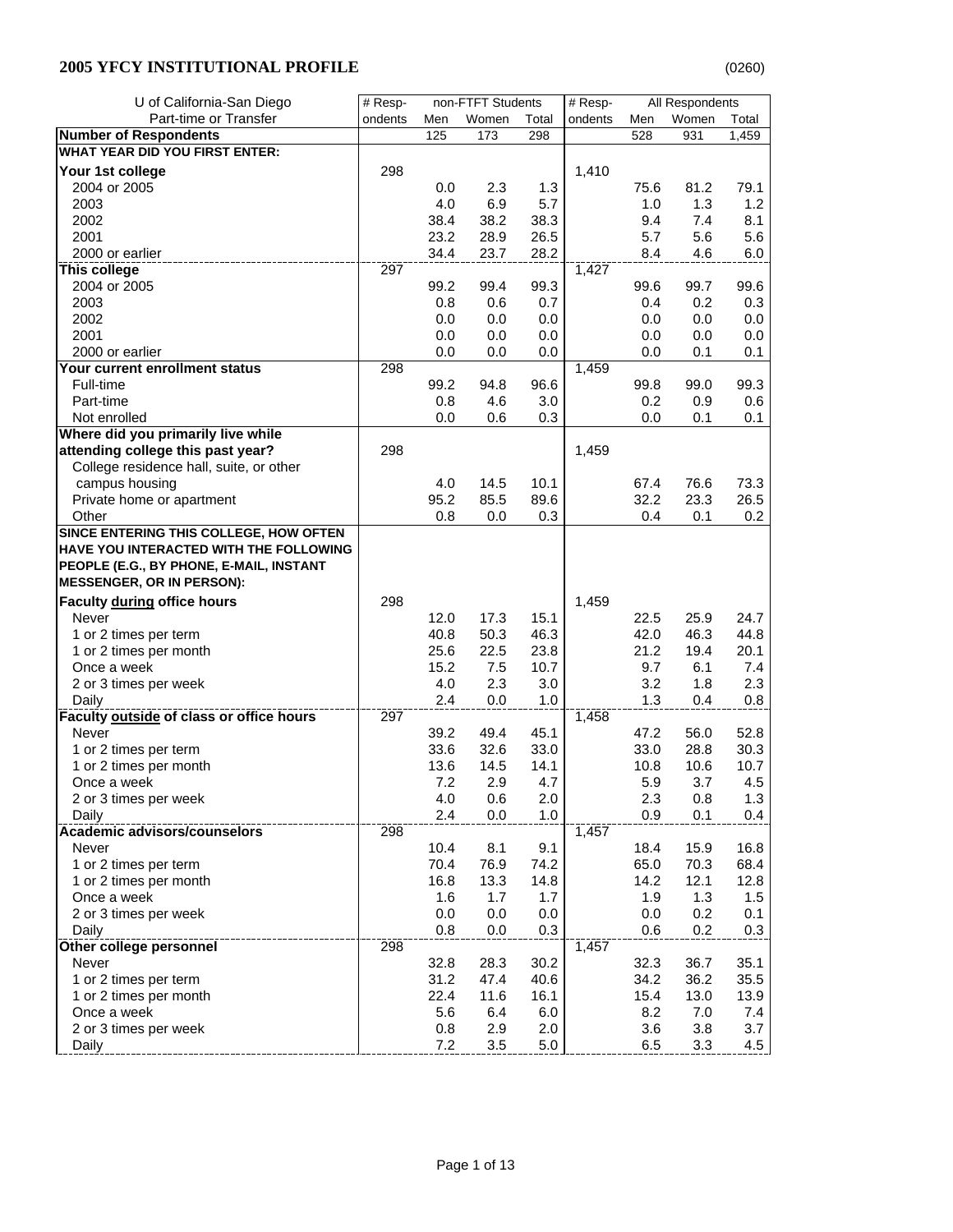| U of California-San Diego                | # Resp- |      | non-FTFT Students |       | # Resp- |      | All Respondents |         |
|------------------------------------------|---------|------|-------------------|-------|---------|------|-----------------|---------|
| Part-time or Transfer                    | ondents | Men  | Women             | Total | ondents | Men  | Women           | Total   |
| <b>Number of Respondents</b>             |         | 125  | 173               | 298   |         | 528  | 931             | 1,459   |
| <b>WHAT YEAR DID YOU FIRST ENTER:</b>    |         |      |                   |       |         |      |                 |         |
| Your 1st college                         | 298     |      |                   |       | 1,410   |      |                 |         |
| 2004 or 2005                             |         | 0.0  | 2.3               | 1.3   |         | 75.6 | 81.2            | 79.1    |
| 2003                                     |         | 4.0  | 6.9               | 5.7   |         | 1.0  | 1.3             | 1.2     |
| 2002                                     |         | 38.4 | 38.2              | 38.3  |         | 9.4  | 7.4             | 8.1     |
| 2001                                     |         | 23.2 | 28.9              | 26.5  |         | 5.7  | 5.6             | 5.6     |
| 2000 or earlier                          |         | 34.4 | 23.7              | 28.2  |         | 8.4  | 4.6             | $6.0\,$ |
| This college                             | 297     |      |                   |       | 1,427   |      |                 |         |
| 2004 or 2005                             |         | 99.2 | 99.4              | 99.3  |         | 99.6 | 99.7            | 99.6    |
| 2003                                     |         | 0.8  | 0.6               | 0.7   |         | 0.4  | 0.2             | 0.3     |
| 2002                                     |         | 0.0  | 0.0               | 0.0   |         | 0.0  | 0.0             | 0.0     |
| 2001                                     |         | 0.0  | 0.0               | 0.0   |         | 0.0  | 0.0             | 0.0     |
| 2000 or earlier                          |         | 0.0  | 0.0               | 0.0   |         | 0.0  | 0.1             | 0.1     |
| Your current enrollment status           | 298     |      |                   |       | 1,459   |      |                 |         |
| Full-time                                |         | 99.2 | 94.8              | 96.6  |         | 99.8 | 99.0            | 99.3    |
| Part-time                                |         | 0.8  | 4.6               | 3.0   |         | 0.2  | 0.9             | 0.6     |
| Not enrolled                             |         | 0.0  | 0.6               | 0.3   |         | 0.0  | 0.1             | 0.1     |
| Where did you primarily live while       |         |      |                   |       |         |      |                 |         |
| attending college this past year?        | 298     |      |                   |       | 1,459   |      |                 |         |
| College residence hall, suite, or other  |         |      |                   |       |         |      |                 |         |
| campus housing                           |         | 4.0  | 14.5              | 10.1  |         | 67.4 | 76.6            | 73.3    |
| Private home or apartment                |         | 95.2 | 85.5              | 89.6  |         | 32.2 | 23.3            | 26.5    |
| Other                                    |         | 0.8  | 0.0               | 0.3   |         | 0.4  | 0.1             | 0.2     |
| SINCE ENTERING THIS COLLEGE, HOW OFTEN   |         |      |                   |       |         |      |                 |         |
| HAVE YOU INTERACTED WITH THE FOLLOWING   |         |      |                   |       |         |      |                 |         |
| PEOPLE (E.G., BY PHONE, E-MAIL, INSTANT  |         |      |                   |       |         |      |                 |         |
| <b>MESSENGER, OR IN PERSON):</b>         |         |      |                   |       |         |      |                 |         |
| Faculty during office hours              | 298     |      |                   |       | 1,459   |      |                 |         |
| <b>Never</b>                             |         | 12.0 | 17.3              | 15.1  |         | 22.5 | 25.9            | 24.7    |
| 1 or 2 times per term                    |         | 40.8 | 50.3              | 46.3  |         | 42.0 | 46.3            | 44.8    |
| 1 or 2 times per month                   |         | 25.6 | 22.5              | 23.8  |         | 21.2 | 19.4            | 20.1    |
| Once a week                              |         | 15.2 | 7.5               | 10.7  |         | 9.7  | 6.1             | 7.4     |
| 2 or 3 times per week                    |         | 4.0  | 2.3               | 3.0   |         | 3.2  | 1.8             | 2.3     |
| Daily                                    |         | 2.4  | 0.0               | 1.0   |         | 1.3  | 0.4             | 0.8     |
| Faculty outside of class or office hours | 297     |      |                   |       | 1,458   |      |                 |         |
| Never                                    |         | 39.2 | 49.4              | 45.1  |         | 47.2 | 56.0            | 52.8    |
| 1 or 2 times per term                    |         | 33.6 | 32.6              | 33.0  |         | 33.0 | 28.8            | 30.3    |
| 1 or 2 times per month                   |         | 13.6 | 14.5              | 14.1  |         | 10.8 | 10.6            | 10.7    |
| Once a week                              |         | 7.2  | 2.9               | 4.7   |         | 5.9  | 3.7             | 4.5     |
| 2 or 3 times per week                    |         | 4.0  | 0.6               | 2.0   |         | 2.3  | 0.8             | 1.3     |
| Daily                                    |         | 2.4  | 0.0               | 1.0   |         | 0.9  | 0.1             | 0.4     |
| <b>Academic advisors/counselors</b>      | 298     |      |                   |       | 1,457   |      |                 |         |
| Never                                    |         | 10.4 | 8.1               | 9.1   |         | 18.4 | 15.9            | 16.8    |
| 1 or 2 times per term                    |         | 70.4 | 76.9              | 74.2  |         | 65.0 | 70.3            | 68.4    |
| 1 or 2 times per month                   |         | 16.8 | 13.3              | 14.8  |         | 14.2 | 12.1            | 12.8    |
| Once a week                              |         | 1.6  | 1.7               | 1.7   |         | 1.9  | 1.3             | 1.5     |
| 2 or 3 times per week                    |         | 0.0  | 0.0               | 0.0   |         | 0.0  | 0.2             | 0.1     |
| Daily                                    |         | 0.8  | 0.0               | 0.3   |         | 0.6  | 0.2             | 0.3     |
| Other college personnel                  | 298     |      |                   |       | 1,457   |      |                 |         |
| Never                                    |         | 32.8 | 28.3              | 30.2  |         | 32.3 | 36.7            | 35.1    |
| 1 or 2 times per term                    |         | 31.2 | 47.4              | 40.6  |         | 34.2 | 36.2            | 35.5    |
| 1 or 2 times per month                   |         | 22.4 | 11.6              | 16.1  |         | 15.4 | 13.0            | 13.9    |
| Once a week                              |         | 5.6  | 6.4               | 6.0   |         | 8.2  | 7.0             | 7.4     |
| 2 or 3 times per week                    |         | 0.8  | 2.9               | 2.0   |         | 3.6  | 3.8             | 3.7     |
| Daily                                    |         | 7.2  | 3.5               | 5.0   |         | 6.5  | 3.3             | 4.5     |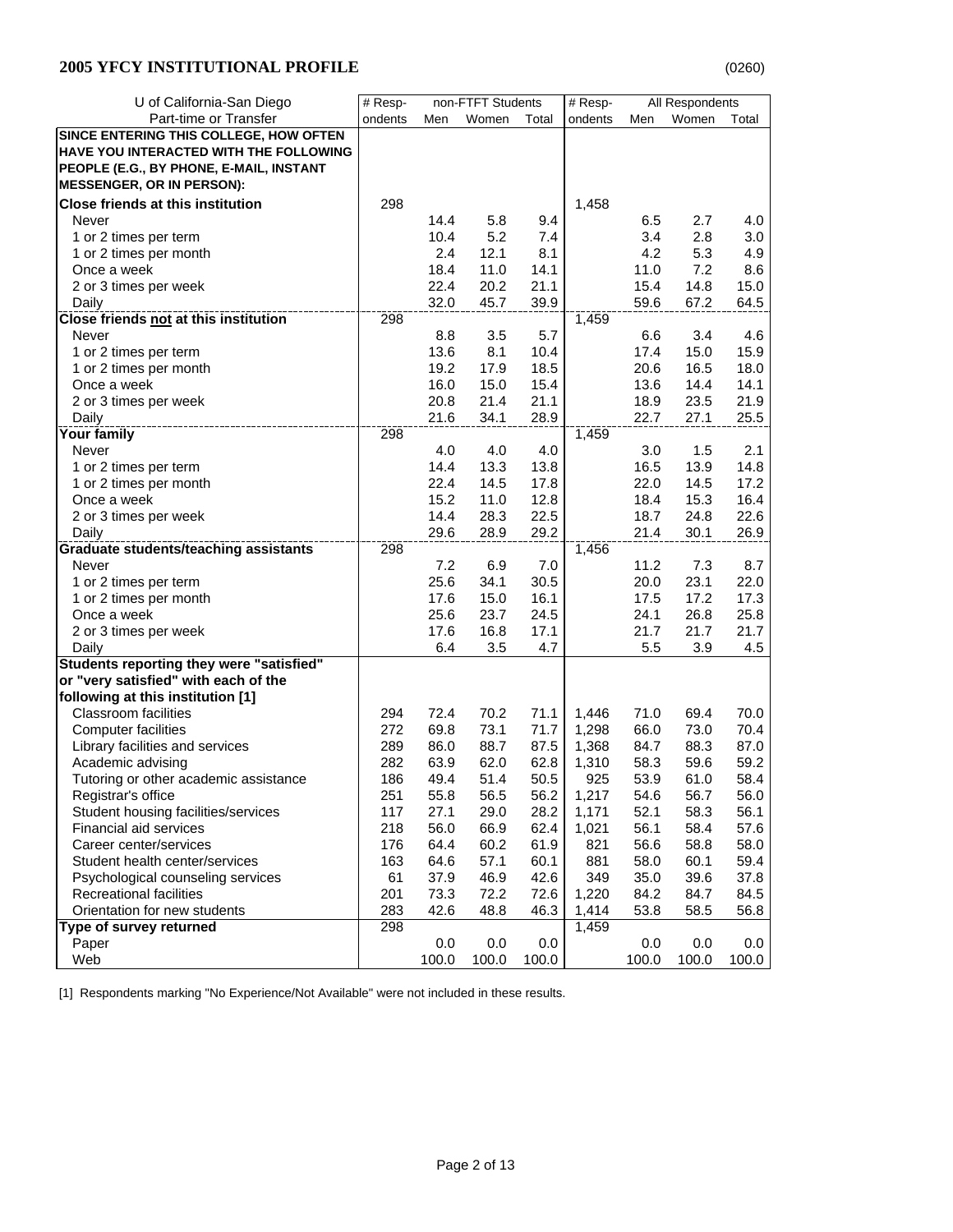| U of California-San Diego                    | # Resp- |       | non-FTFT Students |       | # Resp- |       | All Respondents |       |
|----------------------------------------------|---------|-------|-------------------|-------|---------|-------|-----------------|-------|
| Part-time or Transfer                        | ondents | Men   | Women             | Total | ondents | Men   | Women           | Total |
| SINCE ENTERING THIS COLLEGE, HOW OFTEN       |         |       |                   |       |         |       |                 |       |
| HAVE YOU INTERACTED WITH THE FOLLOWING       |         |       |                   |       |         |       |                 |       |
| PEOPLE (E.G., BY PHONE, E-MAIL, INSTANT      |         |       |                   |       |         |       |                 |       |
| <b>MESSENGER, OR IN PERSON):</b>             |         |       |                   |       |         |       |                 |       |
| <b>Close friends at this institution</b>     | 298     |       |                   |       | 1,458   |       |                 |       |
| Never                                        |         | 14.4  | 5.8               | 9.4   |         | 6.5   | 2.7             | 4.0   |
| 1 or 2 times per term                        |         | 10.4  | 5.2               | 7.4   |         | 3.4   | 2.8             | 3.0   |
| 1 or 2 times per month                       |         | 2.4   | 12.1              | 8.1   |         | 4.2   | 5.3             | 4.9   |
| Once a week                                  |         | 18.4  | 11.0              | 14.1  |         | 11.0  | 7.2             | 8.6   |
| 2 or 3 times per week                        |         | 22.4  | 20.2              | 21.1  |         | 15.4  | 14.8            | 15.0  |
| Daily                                        |         | 32.0  | 45.7              | 39.9  |         | 59.6  | 67.2            | 64.5  |
| Close friends not at this institution        | 298     |       |                   |       | 1,459   |       |                 |       |
| Never                                        |         | 8.8   | 3.5               | 5.7   |         | 6.6   | 3.4             | 4.6   |
| 1 or 2 times per term                        |         | 13.6  | 8.1               | 10.4  |         | 17.4  | 15.0            | 15.9  |
| 1 or 2 times per month                       |         | 19.2  | 17.9              | 18.5  |         | 20.6  | 16.5            | 18.0  |
| Once a week                                  |         | 16.0  | 15.0              | 15.4  |         | 13.6  | 14.4            | 14.1  |
| 2 or 3 times per week                        |         | 20.8  | 21.4              | 21.1  |         | 18.9  | 23.5            | 21.9  |
| Daily                                        |         | 21.6  | 34.1              | 28.9  |         | 22.7  | 27.1            | 25.5  |
| <b>Your family</b>                           | 298     |       |                   |       | 1,459   |       |                 |       |
| Never                                        |         | 4.0   | 4.0               | 4.0   |         | 3.0   | 1.5             | 2.1   |
| 1 or 2 times per term                        |         | 14.4  | 13.3              | 13.8  |         | 16.5  | 13.9            | 14.8  |
| 1 or 2 times per month                       |         | 22.4  | 14.5              | 17.8  |         | 22.0  | 14.5            | 17.2  |
| Once a week                                  |         | 15.2  | 11.0              | 12.8  |         | 18.4  | 15.3            | 16.4  |
| 2 or 3 times per week                        |         | 14.4  | 28.3              | 22.5  |         | 18.7  | 24.8            | 22.6  |
| Daily                                        |         | 29.6  | 28.9              | 29.2  |         | 21.4  | 30.1            | 26.9  |
| <b>Graduate students/teaching assistants</b> | 298     |       |                   |       | 1,456   |       |                 |       |
| Never                                        |         | 7.2   | 6.9               | 7.0   |         | 11.2  | 7.3             | 8.7   |
| 1 or 2 times per term                        |         | 25.6  | 34.1              | 30.5  |         | 20.0  | 23.1            | 22.0  |
| 1 or 2 times per month                       |         | 17.6  | 15.0              | 16.1  |         | 17.5  | 17.2            | 17.3  |
| Once a week                                  |         | 25.6  | 23.7              | 24.5  |         | 24.1  | 26.8            | 25.8  |
| 2 or 3 times per week                        |         | 17.6  | 16.8              | 17.1  |         | 21.7  | 21.7            | 21.7  |
| Daily                                        |         | 6.4   | 3.5               | 4.7   |         | 5.5   | 3.9             | 4.5   |
| Students reporting they were "satisfied"     |         |       |                   |       |         |       |                 |       |
| or "very satisfied" with each of the         |         |       |                   |       |         |       |                 |       |
| following at this institution [1]            |         |       |                   |       |         |       |                 |       |
| <b>Classroom facilities</b>                  | 294     | 72.4  | 70.2              | 71.1  | 1,446   | 71.0  | 69.4            | 70.0  |
| <b>Computer facilities</b>                   | 272     | 69.8  | 73.1              | 71.7  | 1,298   | 66.0  | 73.0            | 70.4  |
| Library facilities and services              | 289     | 86.0  | 88.7              | 87.5  | 1,368   | 84.7  | 88.3            | 87.0  |
| Academic advising                            | 282     | 63.9  | 62.0              | 62.8  | 1,310   | 58.3  | 59.6            | 59.2  |
| Tutoring or other academic assistance        | 186     | 49.4  | 51.4              | 50.5  | 925     | 53.9  | 61.0            | 58.4  |
| Registrar's office                           | 251     | 55.8  | 56.5              | 56.2  | 1,217   | 54.6  | 56.7            | 56.0  |
| Student housing facilities/services          | 117     | 27.1  | 29.0              | 28.2  | 1,171   | 52.1  | 58.3            | 56.1  |
| Financial aid services                       | 218     | 56.0  | 66.9              | 62.4  | 1,021   | 56.1  | 58.4            | 57.6  |
| Career center/services                       | 176     | 64.4  | 60.2              | 61.9  | 821     | 56.6  | 58.8            | 58.0  |
| Student health center/services               | 163     | 64.6  | 57.1              | 60.1  | 881     | 58.0  | 60.1            | 59.4  |
| Psychological counseling services            | 61      | 37.9  | 46.9              | 42.6  | 349     | 35.0  | 39.6            | 37.8  |
| <b>Recreational facilities</b>               | 201     | 73.3  | 72.2              | 72.6  | 1,220   | 84.2  | 84.7            | 84.5  |
| Orientation for new students                 | 283     | 42.6  | 48.8              | 46.3  | 1,414   | 53.8  | 58.5            | 56.8  |
| Type of survey returned                      | 298     |       |                   |       | 1,459   |       |                 |       |
| Paper                                        |         | 0.0   | 0.0               | 0.0   |         | 0.0   | 0.0             | 0.0   |
| Web                                          |         | 100.0 | 100.0             | 100.0 |         | 100.0 | 100.0           | 100.0 |

[1] Respondents marking "No Experience/Not Available" were not included in these results.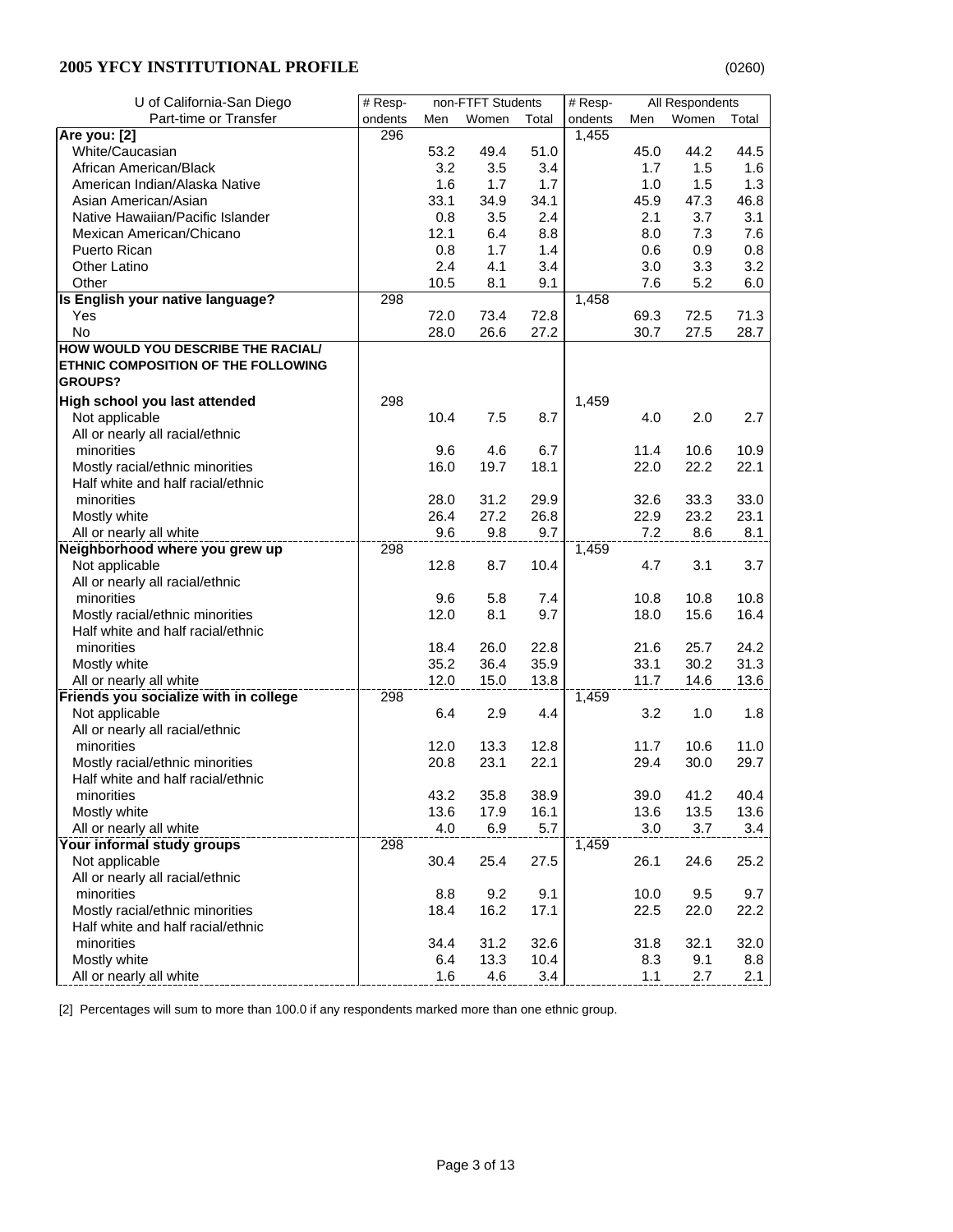| U of California-San Diego                     | # Resp- |      | non-FTFT Students |       | # Resp- | All Respondents |       |       |
|-----------------------------------------------|---------|------|-------------------|-------|---------|-----------------|-------|-------|
| Part-time or Transfer                         | ondents | Men  | Women             | Total | ondents | Men             | Women | Total |
| Are you: [2]                                  | 296     |      |                   |       | 1,455   |                 |       |       |
| White/Caucasian                               |         | 53.2 | 49.4              | 51.0  |         | 45.0            | 44.2  | 44.5  |
| African American/Black                        |         | 3.2  | 3.5               | 3.4   |         | 1.7             | 1.5   | 1.6   |
| American Indian/Alaska Native                 |         | 1.6  | 1.7               | 1.7   |         | 1.0             | 1.5   | 1.3   |
| Asian American/Asian                          |         | 33.1 | 34.9              | 34.1  |         | 45.9            | 47.3  | 46.8  |
| Native Hawaiian/Pacific Islander              |         | 0.8  | 3.5               | 2.4   |         | 2.1             | 3.7   | 3.1   |
| Mexican American/Chicano                      |         | 12.1 | 6.4               | 8.8   |         | 8.0             | 7.3   | 7.6   |
| Puerto Rican                                  |         | 0.8  | 1.7               | 1.4   |         | 0.6             | 0.9   | 0.8   |
| <b>Other Latino</b>                           |         | 2.4  | 4.1               | 3.4   |         | 3.0             | 3.3   | 3.2   |
| Other                                         |         | 10.5 | 8.1               | 9.1   |         | 7.6             | 5.2   | 6.0   |
| Is English your native language?              | 298     |      |                   |       | 1,458   |                 |       |       |
| Yes                                           |         | 72.0 | 73.4              | 72.8  |         | 69.3            | 72.5  | 71.3  |
| No                                            |         | 28.0 | 26.6              | 27.2  |         | 30.7            | 27.5  | 28.7  |
| HOW WOULD YOU DESCRIBE THE RACIAL/            |         |      |                   |       |         |                 |       |       |
| ETHNIC COMPOSITION OF THE FOLLOWING           |         |      |                   |       |         |                 |       |       |
| <b>GROUPS?</b>                                |         |      |                   |       |         |                 |       |       |
|                                               |         |      |                   |       |         |                 |       |       |
| High school you last attended                 | 298     |      |                   |       | 1,459   |                 |       |       |
| Not applicable                                |         | 10.4 | 7.5               | 8.7   |         | 4.0             | 2.0   | 2.7   |
| All or nearly all racial/ethnic<br>minorities |         |      |                   |       |         |                 | 10.6  |       |
|                                               |         | 9.6  | 4.6               | 6.7   |         | 11.4            |       | 10.9  |
| Mostly racial/ethnic minorities               |         | 16.0 | 19.7              | 18.1  |         | 22.0            | 22.2  | 22.1  |
| Half white and half racial/ethnic             |         |      |                   |       |         |                 |       |       |
| minorities                                    |         | 28.0 | 31.2              | 29.9  |         | 32.6            | 33.3  | 33.0  |
| Mostly white                                  |         | 26.4 | 27.2              | 26.8  |         | 22.9            | 23.2  | 23.1  |
| All or nearly all white                       |         | 9.6  | 9.8               | 9.7   |         | 7.2             | 8.6   | 8.1   |
| Neighborhood where you grew up                | 298     |      |                   |       | 1,459   |                 |       |       |
| Not applicable                                |         | 12.8 | 8.7               | 10.4  |         | 4.7             | 3.1   | 3.7   |
| All or nearly all racial/ethnic               |         |      |                   |       |         |                 |       |       |
| minorities                                    |         | 9.6  | 5.8               | 7.4   |         | 10.8            | 10.8  | 10.8  |
| Mostly racial/ethnic minorities               |         | 12.0 | 8.1               | 9.7   |         | 18.0            | 15.6  | 16.4  |
| Half white and half racial/ethnic             |         |      |                   |       |         |                 |       |       |
| minorities                                    |         | 18.4 | 26.0              | 22.8  |         | 21.6            | 25.7  | 24.2  |
| Mostly white                                  |         | 35.2 | 36.4              | 35.9  |         | 33.1            | 30.2  | 31.3  |
| All or nearly all white                       |         | 12.0 | 15.0              | 13.8  |         | 11.7            | 14.6  | 13.6  |
| Friends you socialize with in college         | 298     |      |                   |       | 1,459   |                 |       |       |
| Not applicable                                |         | 6.4  | 2.9               | 4.4   |         | 3.2             | 1.0   | 1.8   |
| All or nearly all racial/ethnic               |         |      |                   |       |         |                 |       |       |
| minorities                                    |         | 12.0 | 13.3              | 12.8  |         | 11.7            | 10.6  | 11.0  |
| Mostly racial/ethnic minorities               |         | 20.8 | 23.1              | 22.1  |         | 29.4            | 30.0  | 29.7  |
| Half white and half racial/ethnic             |         |      |                   |       |         |                 |       |       |
| minorities                                    |         | 43.2 | 35.8              | 38.9  |         | 39.0            | 41.2  | 40.4  |
| Mostly white                                  |         | 13.6 | 17.9              | 16.1  |         | 13.6            | 13.5  | 13.6  |
| All or nearly all white                       |         | 4.0  | 6.9               | 5.7   |         | 3.0             | 3.7   | 3.4   |
| Your informal study groups                    | 298     |      |                   |       | 1,459   |                 |       |       |
| Not applicable                                |         | 30.4 | 25.4              | 27.5  |         | 26.1            | 24.6  | 25.2  |
| All or nearly all racial/ethnic               |         |      |                   |       |         |                 |       |       |
| minorities                                    |         | 8.8  | 9.2               | 9.1   |         | 10.0            | 9.5   | 9.7   |
| Mostly racial/ethnic minorities               |         | 18.4 | 16.2              | 17.1  |         | 22.5            | 22.0  | 22.2  |
| Half white and half racial/ethnic             |         |      |                   |       |         |                 |       |       |
| minorities                                    |         | 34.4 | 31.2              | 32.6  |         | 31.8            | 32.1  | 32.0  |
| Mostly white                                  |         | 6.4  | 13.3              | 10.4  |         | 8.3             | 9.1   | 8.8   |
| All or nearly all white                       |         | 1.6  | 4.6               | 3.4   |         | 1.1             | 2.7   | 2.1   |

[2] Percentages will sum to more than 100.0 if any respondents marked more than one ethnic group.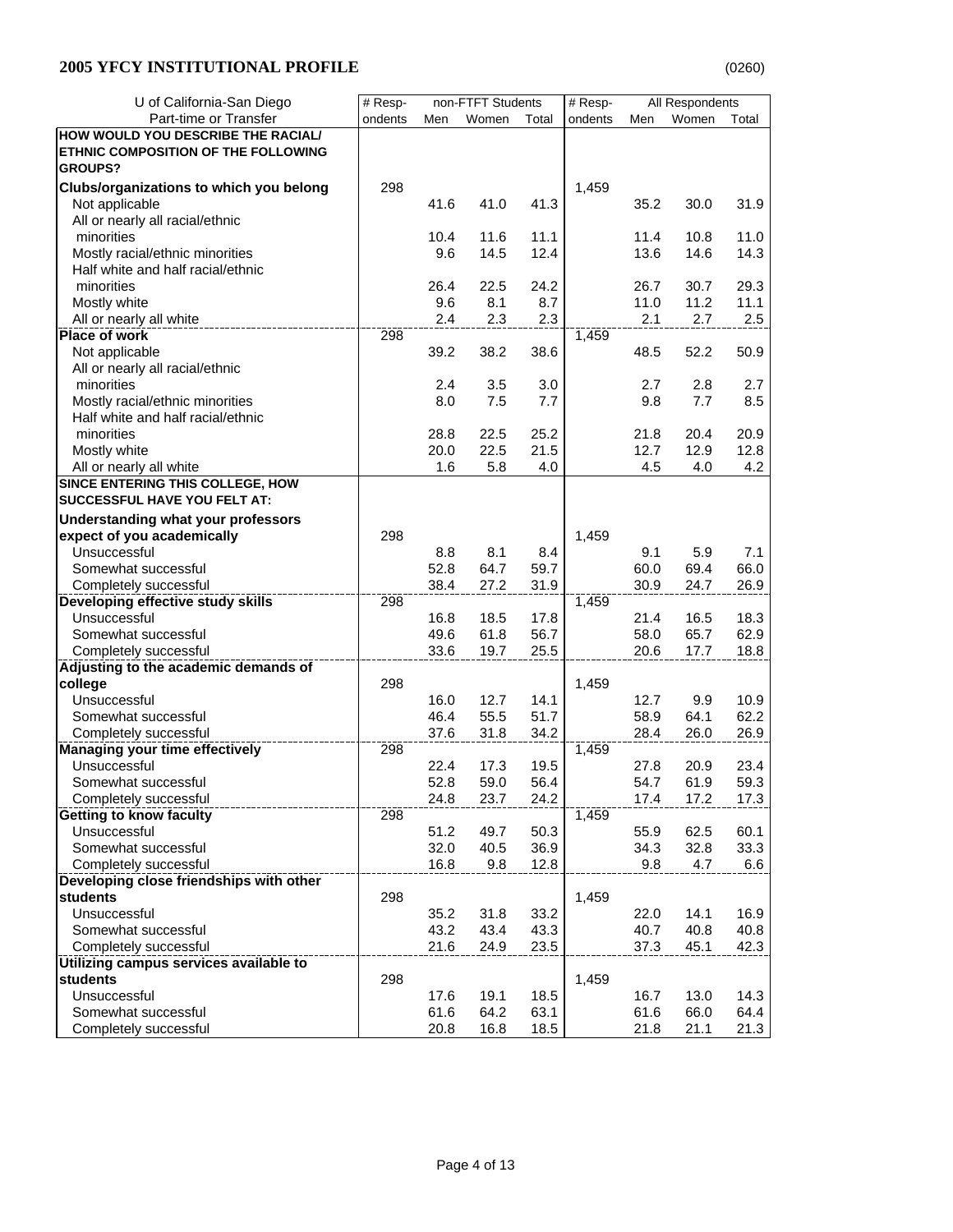| U of California-San Diego               | # Resp- |      | non-FTFT Students |       | # Resp- |      | All Respondents |       |
|-----------------------------------------|---------|------|-------------------|-------|---------|------|-----------------|-------|
| Part-time or Transfer                   | ondents | Men  | Women             | Total | ondents | Men  | Women           | Total |
| HOW WOULD YOU DESCRIBE THE RACIAL/      |         |      |                   |       |         |      |                 |       |
| ETHNIC COMPOSITION OF THE FOLLOWING     |         |      |                   |       |         |      |                 |       |
| <b>GROUPS?</b>                          |         |      |                   |       |         |      |                 |       |
| Clubs/organizations to which you belong | 298     |      |                   |       | 1,459   |      |                 |       |
| Not applicable                          |         | 41.6 | 41.0              | 41.3  |         | 35.2 | 30.0            | 31.9  |
| All or nearly all racial/ethnic         |         |      |                   |       |         |      |                 |       |
| minorities                              |         | 10.4 | 11.6              | 11.1  |         | 11.4 | 10.8            | 11.0  |
| Mostly racial/ethnic minorities         |         | 9.6  | 14.5              | 12.4  |         | 13.6 | 14.6            | 14.3  |
| Half white and half racial/ethnic       |         |      |                   |       |         |      |                 |       |
| minorities                              |         | 26.4 | 22.5              | 24.2  |         | 26.7 | 30.7            | 29.3  |
| Mostly white                            |         | 9.6  | 8.1               | 8.7   |         | 11.0 | 11.2            | 11.1  |
| All or nearly all white                 |         | 2.4  | 2.3               | 2.3   |         | 2.1  | 2.7             | 2.5   |
| Place of work                           | 298     |      |                   |       | 1,459   |      |                 |       |
|                                         |         | 39.2 | 38.2              | 38.6  |         | 48.5 | 52.2            | 50.9  |
| Not applicable                          |         |      |                   |       |         |      |                 |       |
| All or nearly all racial/ethnic         |         |      |                   |       |         |      |                 |       |
| minorities                              |         | 2.4  | 3.5               | 3.0   |         | 2.7  | 2.8             | 2.7   |
| Mostly racial/ethnic minorities         |         | 8.0  | 7.5               | 7.7   |         | 9.8  | 7.7             | 8.5   |
| Half white and half racial/ethnic       |         |      |                   |       |         |      |                 |       |
| minorities                              |         | 28.8 | 22.5              | 25.2  |         | 21.8 | 20.4            | 20.9  |
| Mostly white                            |         | 20.0 | 22.5              | 21.5  |         | 12.7 | 12.9            | 12.8  |
| All or nearly all white                 |         | 1.6  | 5.8               | 4.0   |         | 4.5  | 4.0             | 4.2   |
| SINCE ENTERING THIS COLLEGE, HOW        |         |      |                   |       |         |      |                 |       |
| <b>SUCCESSFUL HAVE YOU FELT AT:</b>     |         |      |                   |       |         |      |                 |       |
| Understanding what your professors      |         |      |                   |       |         |      |                 |       |
| expect of you academically              | 298     |      |                   |       | 1,459   |      |                 |       |
| Unsuccessful                            |         | 8.8  | 8.1               | 8.4   |         | 9.1  | 5.9             | 7.1   |
| Somewhat successful                     |         | 52.8 | 64.7              | 59.7  |         | 60.0 | 69.4            | 66.0  |
| Completely successful                   |         | 38.4 | 27.2              | 31.9  |         | 30.9 | 24.7            | 26.9  |
| Developing effective study skills       | 298     |      |                   |       | 1,459   |      |                 |       |
| Unsuccessful                            |         | 16.8 | 18.5              | 17.8  |         | 21.4 | 16.5            | 18.3  |
| Somewhat successful                     |         | 49.6 | 61.8              | 56.7  |         | 58.0 | 65.7            | 62.9  |
|                                         |         |      |                   |       |         |      |                 |       |
| Completely successful                   |         | 33.6 | 19.7              | 25.5  |         | 20.6 | 17.7            | 18.8  |
| Adjusting to the academic demands of    |         |      |                   |       |         |      |                 |       |
| college                                 | 298     |      |                   |       | 1,459   |      |                 |       |
| Unsuccessful                            |         | 16.0 | 12.7              | 14.1  |         | 12.7 | 9.9             | 10.9  |
| Somewhat successful                     |         | 46.4 | 55.5              | 51.7  |         | 58.9 | 64.1            | 62.2  |
| Completely successful                   |         | 37.6 | 31.8              | 34.2  |         | 28.4 | 26.0            | 26.9  |
| <b>Managing your time effectively</b>   | 298     |      |                   |       | 1,459   |      |                 |       |
| Unsuccessful                            |         | 22.4 | 17.3              | 19.5  |         | 27.8 | 20.9            | 23.4  |
| Somewhat successful                     |         | 52.8 | 59.0              | 56.4  |         | 54.7 | 61.9            | 59.3  |
| Completely successful                   |         | 24.8 | 23.7              | 24.2  |         | 17.4 | 17.2            | 17.3  |
| <b>Getting to know faculty</b>          | 298     |      |                   |       | 1,459   |      |                 |       |
| Unsuccessful                            |         | 51.2 | 49.7              | 50.3  |         | 55.9 | 62.5            | 60.1  |
| Somewhat successful                     |         | 32.0 | 40.5              | 36.9  |         | 34.3 | 32.8            | 33.3  |
| Completely successful                   |         | 16.8 | 9.8               | 12.8  |         | 9.8  | 4.7             | 6.6   |
| Developing close friendships with other |         |      |                   |       |         |      |                 |       |
| students                                | 298     |      |                   |       | 1,459   |      |                 |       |
| Unsuccessful                            |         | 35.2 | 31.8              | 33.2  |         | 22.0 | 14.1            | 16.9  |
| Somewhat successful                     |         | 43.2 | 43.4              | 43.3  |         | 40.7 | 40.8            | 40.8  |
| Completely successful                   |         | 21.6 | 24.9              | 23.5  |         | 37.3 | 45.1            | 42.3  |
| Utilizing campus services available to  |         |      |                   |       |         |      |                 |       |
| <b>students</b>                         | 298     |      |                   |       | 1,459   |      |                 |       |
| Unsuccessful                            |         | 17.6 | 19.1              |       |         |      |                 |       |
|                                         |         |      |                   | 18.5  |         | 16.7 | 13.0            | 14.3  |
| Somewhat successful                     |         | 61.6 | 64.2              | 63.1  |         | 61.6 | 66.0            | 64.4  |
| Completely successful                   |         | 20.8 | 16.8              | 18.5  |         | 21.8 | 21.1            | 21.3  |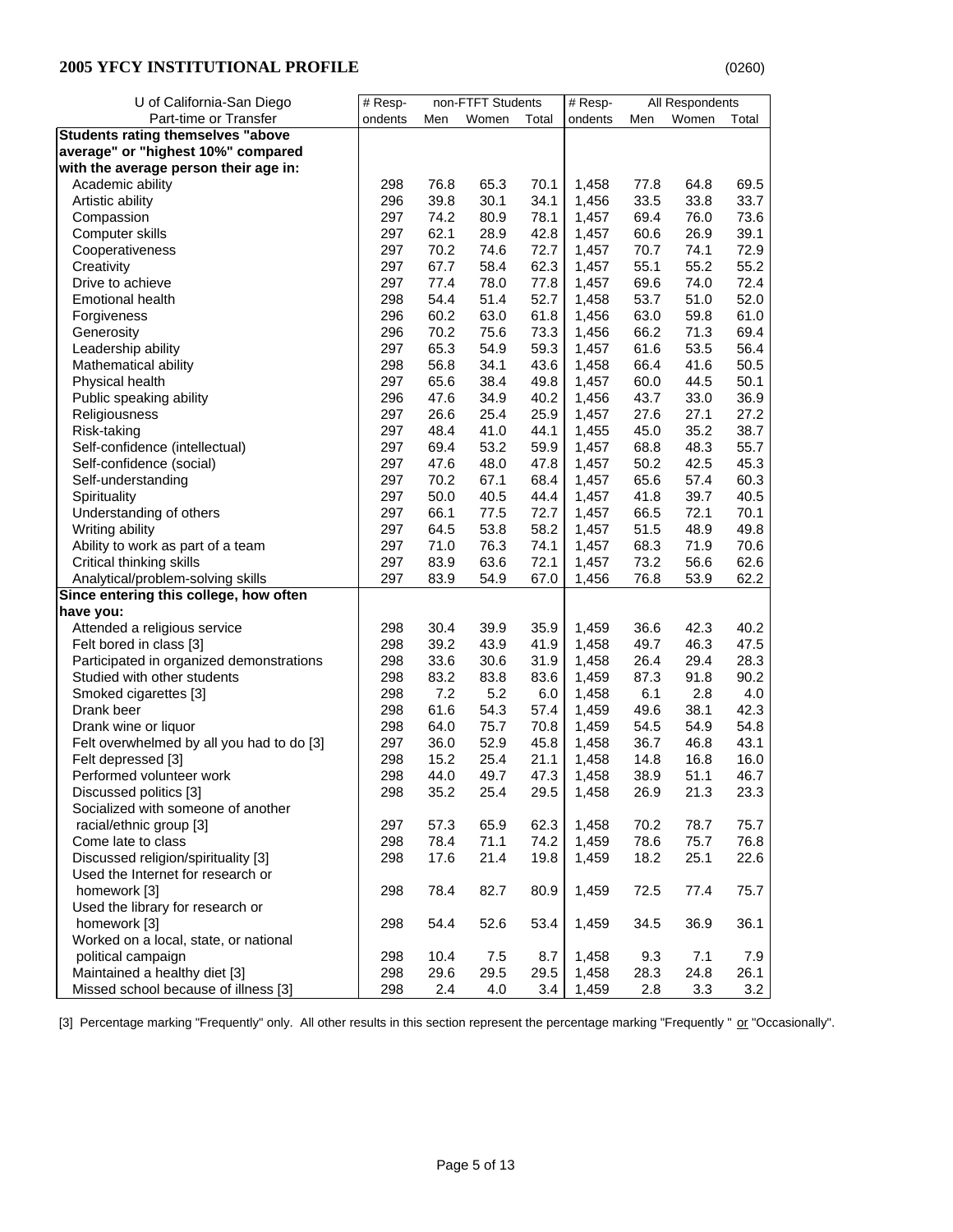| U of California-San Diego                 | # Resp- |      | non-FTFT Students |       | # Resp- |      | All Respondents |         |
|-------------------------------------------|---------|------|-------------------|-------|---------|------|-----------------|---------|
| Part-time or Transfer                     | ondents | Men  | Women             | Total | ondents | Men  | Women           | Total   |
| <b>Students rating themselves "above</b>  |         |      |                   |       |         |      |                 |         |
| average" or "highest 10%" compared        |         |      |                   |       |         |      |                 |         |
| with the average person their age in:     |         |      |                   |       |         |      |                 |         |
| Academic ability                          | 298     | 76.8 | 65.3              | 70.1  | 1,458   | 77.8 | 64.8            | 69.5    |
| Artistic ability                          | 296     | 39.8 | 30.1              | 34.1  | 1,456   | 33.5 | 33.8            | 33.7    |
| Compassion                                | 297     | 74.2 | 80.9              | 78.1  | 1,457   | 69.4 | 76.0            | 73.6    |
| Computer skills                           | 297     | 62.1 | 28.9              | 42.8  | 1,457   | 60.6 | 26.9            | 39.1    |
| Cooperativeness                           | 297     | 70.2 | 74.6              | 72.7  | 1,457   | 70.7 | 74.1            | 72.9    |
| Creativity                                | 297     | 67.7 | 58.4              | 62.3  | 1,457   | 55.1 | 55.2            | 55.2    |
| Drive to achieve                          | 297     | 77.4 | 78.0              | 77.8  | 1,457   | 69.6 | 74.0            | 72.4    |
| <b>Emotional health</b>                   | 298     | 54.4 | 51.4              | 52.7  | 1,458   | 53.7 | 51.0            | 52.0    |
| Forgiveness                               | 296     | 60.2 | 63.0              | 61.8  | 1,456   | 63.0 | 59.8            | 61.0    |
| Generosity                                | 296     | 70.2 | 75.6              | 73.3  | 1,456   | 66.2 | 71.3            | 69.4    |
| Leadership ability                        | 297     | 65.3 | 54.9              | 59.3  | 1,457   | 61.6 | 53.5            | 56.4    |
| Mathematical ability                      | 298     | 56.8 | 34.1              | 43.6  | 1,458   | 66.4 | 41.6            | 50.5    |
| Physical health                           | 297     | 65.6 | 38.4              | 49.8  | 1,457   | 60.0 | 44.5            | 50.1    |
| Public speaking ability                   | 296     | 47.6 | 34.9              | 40.2  | 1,456   | 43.7 | 33.0            | 36.9    |
| Religiousness                             | 297     | 26.6 | 25.4              | 25.9  | 1,457   | 27.6 | 27.1            | 27.2    |
| Risk-taking                               | 297     | 48.4 | 41.0              | 44.1  | 1,455   | 45.0 | 35.2            | 38.7    |
| Self-confidence (intellectual)            | 297     | 69.4 | 53.2              | 59.9  | 1,457   | 68.8 | 48.3            | 55.7    |
| Self-confidence (social)                  | 297     | 47.6 | 48.0              | 47.8  | 1,457   | 50.2 | 42.5            | 45.3    |
| Self-understanding                        | 297     | 70.2 | 67.1              | 68.4  | 1,457   | 65.6 | 57.4            | 60.3    |
| Spirituality                              | 297     | 50.0 | 40.5              | 44.4  | 1,457   | 41.8 | 39.7            | 40.5    |
| Understanding of others                   | 297     | 66.1 | 77.5              | 72.7  | 1,457   | 66.5 | 72.1            | 70.1    |
| Writing ability                           | 297     | 64.5 | 53.8              | 58.2  | 1,457   | 51.5 | 48.9            | 49.8    |
| Ability to work as part of a team         | 297     | 71.0 | 76.3              | 74.1  | 1,457   | 68.3 | 71.9            | 70.6    |
| Critical thinking skills                  | 297     | 83.9 | 63.6              | 72.1  | 1,457   | 73.2 | 56.6            | 62.6    |
| Analytical/problem-solving skills         | 297     | 83.9 | 54.9              | 67.0  | 1,456   | 76.8 | 53.9            | 62.2    |
| Since entering this college, how often    |         |      |                   |       |         |      |                 |         |
| have you:                                 |         |      |                   |       |         |      |                 |         |
| Attended a religious service              | 298     | 30.4 | 39.9              | 35.9  | 1,459   | 36.6 | 42.3            | 40.2    |
| Felt bored in class [3]                   | 298     | 39.2 | 43.9              | 41.9  | 1,458   | 49.7 | 46.3            | 47.5    |
| Participated in organized demonstrations  | 298     | 33.6 | 30.6              | 31.9  | 1,458   | 26.4 | 29.4            | 28.3    |
| Studied with other students               | 298     | 83.2 | 83.8              | 83.6  | 1,459   | 87.3 | 91.8            | 90.2    |
| Smoked cigarettes [3]                     | 298     | 7.2  | 5.2               | 6.0   | 1,458   | 6.1  | 2.8             | $4.0\,$ |
| Drank beer                                | 298     | 61.6 | 54.3              | 57.4  | 1,459   | 49.6 | 38.1            | 42.3    |
| Drank wine or liquor                      | 298     | 64.0 | 75.7              | 70.8  | 1,459   | 54.5 | 54.9            | 54.8    |
| Felt overwhelmed by all you had to do [3] | 297     | 36.0 | 52.9              | 45.8  | 1,458   | 36.7 | 46.8            | 43.1    |
| Felt depressed [3]                        | 298     | 15.2 | 25.4              | 21.1  | 1,458   | 14.8 | 16.8            | 16.0    |
| Performed volunteer work                  | 298     | 44.0 | 49.7              | 47.3  | 1,458   | 38.9 | 51.1            | 46.7    |
| Discussed politics [3]                    | 298     | 35.2 | 25.4              | 29.5  | 1,458   | 26.9 | 21.3            | 23.3    |
| Socialized with someone of another        |         |      |                   |       |         |      |                 |         |
| racial/ethnic group [3]                   | 297     | 57.3 | 65.9              | 62.3  | 1,458   | 70.2 | 78.7            | 75.7    |
| Come late to class                        | 298     | 78.4 | 71.1              | 74.2  | 1,459   | 78.6 | 75.7            | 76.8    |
| Discussed religion/spirituality [3]       | 298     | 17.6 | 21.4              | 19.8  | 1,459   | 18.2 | 25.1            | 22.6    |
| Used the Internet for research or         |         |      |                   |       |         |      |                 |         |
| homework [3]                              | 298     | 78.4 | 82.7              | 80.9  | 1,459   | 72.5 | 77.4            | 75.7    |
| Used the library for research or          |         |      |                   |       |         |      |                 |         |
| homework [3]                              | 298     | 54.4 | 52.6              | 53.4  | 1,459   | 34.5 | 36.9            | 36.1    |
| Worked on a local, state, or national     |         |      |                   |       |         |      |                 |         |
| political campaign                        | 298     | 10.4 | 7.5               | 8.7   | 1,458   | 9.3  | 7.1             | 7.9     |
| Maintained a healthy diet [3]             | 298     | 29.6 | 29.5              | 29.5  | 1,458   | 28.3 | 24.8            | 26.1    |
| Missed school because of illness [3]      | 298     | 2.4  | 4.0               | 3.4   | 1,459   | 2.8  | $3.3\,$         | 3.2     |
|                                           |         |      |                   |       |         |      |                 |         |

[3] Percentage marking "Frequently" only. All other results in this section represent the percentage marking "Frequently " or "Occasionally".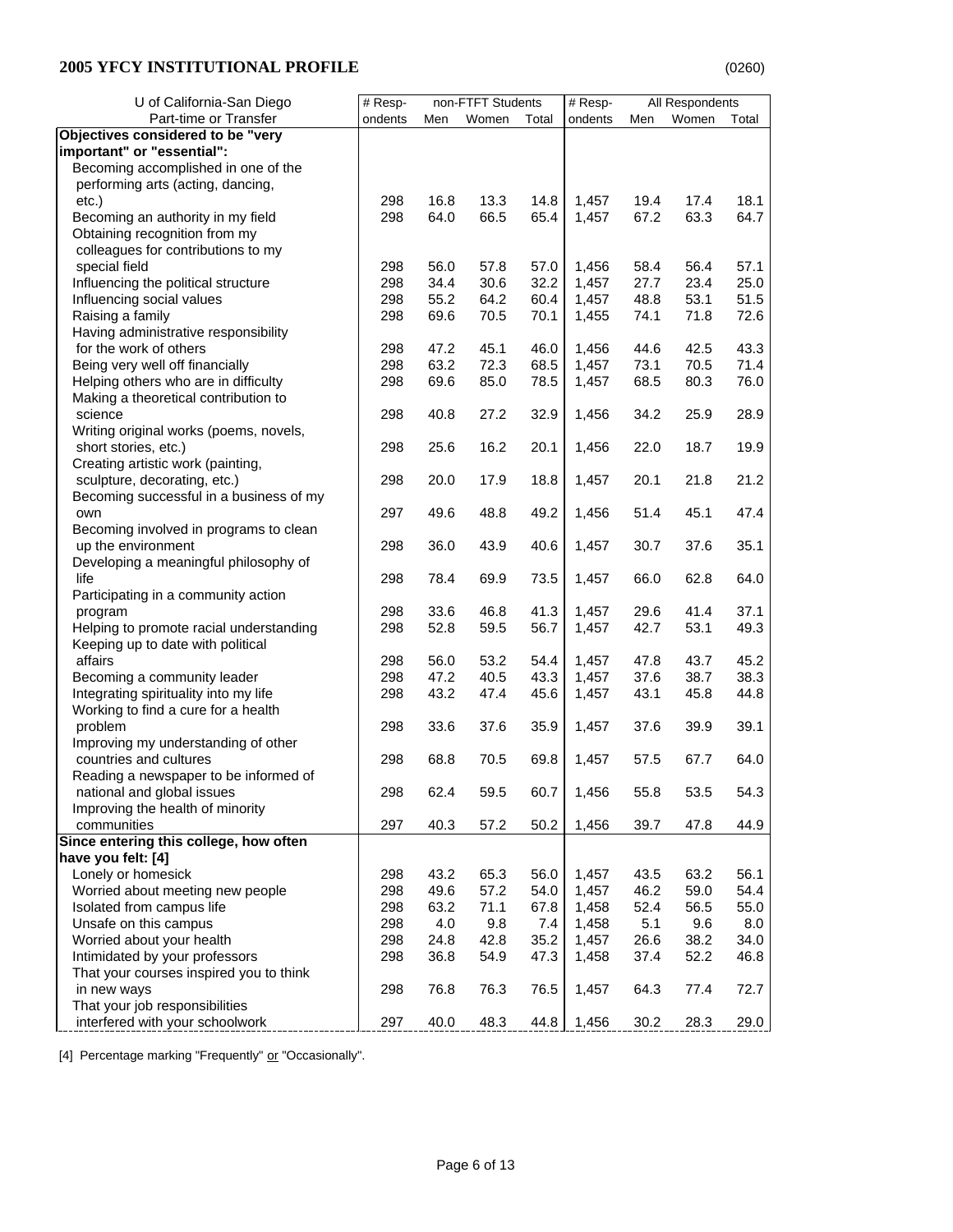| Part-time or Transfer<br>ondents<br>Men<br>Women<br>Total<br>ondents<br>Men<br>Women<br>Total<br>Objectives considered to be "very<br>important" or "essential":<br>Becoming accomplished in one of the<br>performing arts (acting, dancing,<br>16.8<br>13.3<br>18.1<br>$etc.$ )<br>298<br>14.8<br>1,457<br>19.4<br>17.4<br>Becoming an authority in my field<br>298<br>64.0<br>66.5<br>1,457<br>67.2<br>63.3<br>64.7<br>65.4<br>Obtaining recognition from my<br>colleagues for contributions to my<br>special field<br>57.1<br>298<br>56.0<br>57.8<br>57.0<br>1,456<br>58.4<br>56.4<br>298<br>34.4<br>30.6<br>32.2<br>1,457<br>27.7<br>23.4<br>25.0<br>Influencing the political structure<br>Influencing social values<br>55.2<br>64.2<br>60.4<br>1,457<br>48.8<br>53.1<br>51.5<br>298<br>Raising a family<br>69.6<br>70.5<br>1,455<br>74.1<br>71.8<br>298<br>70.1<br>72.6<br>Having administrative responsibility<br>for the work of others<br>45.1<br>46.0<br>1,456<br>44.6<br>42.5<br>43.3<br>298<br>47.2<br>Being very well off financially<br>298<br>63.2<br>72.3<br>68.5<br>1,457<br>73.1<br>70.5<br>71.4<br>Helping others who are in difficulty<br>69.6<br>85.0<br>1,457<br>68.5<br>80.3<br>76.0<br>298<br>78.5<br>Making a theoretical contribution to<br>science<br>298<br>40.8<br>27.2<br>32.9<br>34.2<br>25.9<br>28.9<br>1,456<br>Writing original works (poems, novels,<br>298<br>25.6<br>16.2<br>1,456<br>18.7<br>19.9<br>short stories, etc.)<br>20.1<br>22.0<br>Creating artistic work (painting,<br>sculpture, decorating, etc.)<br>298<br>20.0<br>1,457<br>20.1<br>21.8<br>21.2<br>17.9<br>18.8<br>Becoming successful in a business of my<br>297<br>49.6<br>48.8<br>49.2<br>1,456<br>51.4<br>45.1<br>47.4<br>own<br>Becoming involved in programs to clean<br>up the environment<br>36.0<br>43.9<br>30.7<br>35.1<br>298<br>40.6<br>1,457<br>37.6<br>Developing a meaningful philosophy of<br>life<br>298<br>78.4<br>69.9<br>1,457<br>66.0<br>62.8<br>64.0<br>73.5<br>Participating in a community action<br>33.6<br>46.8<br>41.4<br>37.1<br>program<br>298<br>41.3<br>1,457<br>29.6<br>Helping to promote racial understanding<br>52.8<br>59.5<br>1,457<br>42.7<br>53.1<br>298<br>56.7<br>49.3<br>Keeping up to date with political<br>affairs<br>53.2<br>45.2<br>298<br>56.0<br>54.4<br>1,457<br>47.8<br>43.7<br>298<br>47.2<br>40.5<br>1,457<br>37.6<br>38.7<br>Becoming a community leader<br>43.3<br>38.3<br>Integrating spirituality into my life<br>298<br>43.2<br>47.4<br>45.6<br>1,457<br>43.1<br>45.8<br>44.8<br>Working to find a cure for a health<br>33.6<br>39.1<br>problem<br>298<br>37.6<br>35.9<br>1,457<br>37.6<br>39.9<br>Improving my understanding of other<br>countries and cultures<br>298<br>68.8<br>70.5<br>69.8<br>1,457<br>57.5<br>67.7<br>64.0<br>Reading a newspaper to be informed of<br>national and global issues<br>298<br>62.4<br>59.5<br>60.7<br>1,456<br>55.8<br>53.5<br>54.3<br>Improving the health of minority<br>297<br>40.3<br>57.2<br>50.2<br>39.7<br>communities<br>1,456<br>47.8<br>44.9<br>Since entering this college, how often<br>have you felt: [4]<br>Lonely or homesick<br>43.2<br>56.1<br>298<br>65.3<br>56.0<br>1,457<br>43.5<br>63.2<br>Worried about meeting new people<br>49.6<br>57.2<br>1,457<br>46.2<br>59.0<br>298<br>54.0<br>54.4<br>Isolated from campus life<br>298<br>71.1<br>1,458<br>55.0<br>63.2<br>67.8<br>52.4<br>56.5<br>9.8<br>Unsafe on this campus<br>298<br>4.0<br>1,458<br>5.1<br>9.6<br>8.0<br>7.4<br>Worried about your health<br>298<br>24.8<br>42.8<br>35.2<br>1,457<br>26.6<br>38.2<br>34.0<br>Intimidated by your professors<br>298<br>36.8<br>52.2<br>46.8<br>54.9<br>47.3<br>1,458<br>37.4<br>That your courses inspired you to think<br>72.7<br>in new ways<br>298<br>76.8<br>76.3<br>76.5<br>1,457<br>64.3<br>77.4<br>That your job responsibilities<br>interfered with your schoolwork<br>297<br>48.3<br>44.8<br>30.2<br>40.0<br>1,456<br>28.3<br>29.0 | U of California-San Diego | # Resp- | non-FTFT Students | # Resp- | All Respondents |  |  |
|-------------------------------------------------------------------------------------------------------------------------------------------------------------------------------------------------------------------------------------------------------------------------------------------------------------------------------------------------------------------------------------------------------------------------------------------------------------------------------------------------------------------------------------------------------------------------------------------------------------------------------------------------------------------------------------------------------------------------------------------------------------------------------------------------------------------------------------------------------------------------------------------------------------------------------------------------------------------------------------------------------------------------------------------------------------------------------------------------------------------------------------------------------------------------------------------------------------------------------------------------------------------------------------------------------------------------------------------------------------------------------------------------------------------------------------------------------------------------------------------------------------------------------------------------------------------------------------------------------------------------------------------------------------------------------------------------------------------------------------------------------------------------------------------------------------------------------------------------------------------------------------------------------------------------------------------------------------------------------------------------------------------------------------------------------------------------------------------------------------------------------------------------------------------------------------------------------------------------------------------------------------------------------------------------------------------------------------------------------------------------------------------------------------------------------------------------------------------------------------------------------------------------------------------------------------------------------------------------------------------------------------------------------------------------------------------------------------------------------------------------------------------------------------------------------------------------------------------------------------------------------------------------------------------------------------------------------------------------------------------------------------------------------------------------------------------------------------------------------------------------------------------------------------------------------------------------------------------------------------------------------------------------------------------------------------------------------------------------------------------------------------------------------------------------------------------------------------------------------------------------------------------------------------------------------------------------------------------------------------------------------------------------------------------------------------------------------------------------------------------------------------------------------------------------------------------------------------------------------------------------------------------------------------------------------------------------------------------|---------------------------|---------|-------------------|---------|-----------------|--|--|
|                                                                                                                                                                                                                                                                                                                                                                                                                                                                                                                                                                                                                                                                                                                                                                                                                                                                                                                                                                                                                                                                                                                                                                                                                                                                                                                                                                                                                                                                                                                                                                                                                                                                                                                                                                                                                                                                                                                                                                                                                                                                                                                                                                                                                                                                                                                                                                                                                                                                                                                                                                                                                                                                                                                                                                                                                                                                                                                                                                                                                                                                                                                                                                                                                                                                                                                                                                                                                                                                                                                                                                                                                                                                                                                                                                                                                                                                                                                                                                   |                           |         |                   |         |                 |  |  |
|                                                                                                                                                                                                                                                                                                                                                                                                                                                                                                                                                                                                                                                                                                                                                                                                                                                                                                                                                                                                                                                                                                                                                                                                                                                                                                                                                                                                                                                                                                                                                                                                                                                                                                                                                                                                                                                                                                                                                                                                                                                                                                                                                                                                                                                                                                                                                                                                                                                                                                                                                                                                                                                                                                                                                                                                                                                                                                                                                                                                                                                                                                                                                                                                                                                                                                                                                                                                                                                                                                                                                                                                                                                                                                                                                                                                                                                                                                                                                                   |                           |         |                   |         |                 |  |  |
|                                                                                                                                                                                                                                                                                                                                                                                                                                                                                                                                                                                                                                                                                                                                                                                                                                                                                                                                                                                                                                                                                                                                                                                                                                                                                                                                                                                                                                                                                                                                                                                                                                                                                                                                                                                                                                                                                                                                                                                                                                                                                                                                                                                                                                                                                                                                                                                                                                                                                                                                                                                                                                                                                                                                                                                                                                                                                                                                                                                                                                                                                                                                                                                                                                                                                                                                                                                                                                                                                                                                                                                                                                                                                                                                                                                                                                                                                                                                                                   |                           |         |                   |         |                 |  |  |
|                                                                                                                                                                                                                                                                                                                                                                                                                                                                                                                                                                                                                                                                                                                                                                                                                                                                                                                                                                                                                                                                                                                                                                                                                                                                                                                                                                                                                                                                                                                                                                                                                                                                                                                                                                                                                                                                                                                                                                                                                                                                                                                                                                                                                                                                                                                                                                                                                                                                                                                                                                                                                                                                                                                                                                                                                                                                                                                                                                                                                                                                                                                                                                                                                                                                                                                                                                                                                                                                                                                                                                                                                                                                                                                                                                                                                                                                                                                                                                   |                           |         |                   |         |                 |  |  |
|                                                                                                                                                                                                                                                                                                                                                                                                                                                                                                                                                                                                                                                                                                                                                                                                                                                                                                                                                                                                                                                                                                                                                                                                                                                                                                                                                                                                                                                                                                                                                                                                                                                                                                                                                                                                                                                                                                                                                                                                                                                                                                                                                                                                                                                                                                                                                                                                                                                                                                                                                                                                                                                                                                                                                                                                                                                                                                                                                                                                                                                                                                                                                                                                                                                                                                                                                                                                                                                                                                                                                                                                                                                                                                                                                                                                                                                                                                                                                                   |                           |         |                   |         |                 |  |  |
|                                                                                                                                                                                                                                                                                                                                                                                                                                                                                                                                                                                                                                                                                                                                                                                                                                                                                                                                                                                                                                                                                                                                                                                                                                                                                                                                                                                                                                                                                                                                                                                                                                                                                                                                                                                                                                                                                                                                                                                                                                                                                                                                                                                                                                                                                                                                                                                                                                                                                                                                                                                                                                                                                                                                                                                                                                                                                                                                                                                                                                                                                                                                                                                                                                                                                                                                                                                                                                                                                                                                                                                                                                                                                                                                                                                                                                                                                                                                                                   |                           |         |                   |         |                 |  |  |
|                                                                                                                                                                                                                                                                                                                                                                                                                                                                                                                                                                                                                                                                                                                                                                                                                                                                                                                                                                                                                                                                                                                                                                                                                                                                                                                                                                                                                                                                                                                                                                                                                                                                                                                                                                                                                                                                                                                                                                                                                                                                                                                                                                                                                                                                                                                                                                                                                                                                                                                                                                                                                                                                                                                                                                                                                                                                                                                                                                                                                                                                                                                                                                                                                                                                                                                                                                                                                                                                                                                                                                                                                                                                                                                                                                                                                                                                                                                                                                   |                           |         |                   |         |                 |  |  |
|                                                                                                                                                                                                                                                                                                                                                                                                                                                                                                                                                                                                                                                                                                                                                                                                                                                                                                                                                                                                                                                                                                                                                                                                                                                                                                                                                                                                                                                                                                                                                                                                                                                                                                                                                                                                                                                                                                                                                                                                                                                                                                                                                                                                                                                                                                                                                                                                                                                                                                                                                                                                                                                                                                                                                                                                                                                                                                                                                                                                                                                                                                                                                                                                                                                                                                                                                                                                                                                                                                                                                                                                                                                                                                                                                                                                                                                                                                                                                                   |                           |         |                   |         |                 |  |  |
|                                                                                                                                                                                                                                                                                                                                                                                                                                                                                                                                                                                                                                                                                                                                                                                                                                                                                                                                                                                                                                                                                                                                                                                                                                                                                                                                                                                                                                                                                                                                                                                                                                                                                                                                                                                                                                                                                                                                                                                                                                                                                                                                                                                                                                                                                                                                                                                                                                                                                                                                                                                                                                                                                                                                                                                                                                                                                                                                                                                                                                                                                                                                                                                                                                                                                                                                                                                                                                                                                                                                                                                                                                                                                                                                                                                                                                                                                                                                                                   |                           |         |                   |         |                 |  |  |
|                                                                                                                                                                                                                                                                                                                                                                                                                                                                                                                                                                                                                                                                                                                                                                                                                                                                                                                                                                                                                                                                                                                                                                                                                                                                                                                                                                                                                                                                                                                                                                                                                                                                                                                                                                                                                                                                                                                                                                                                                                                                                                                                                                                                                                                                                                                                                                                                                                                                                                                                                                                                                                                                                                                                                                                                                                                                                                                                                                                                                                                                                                                                                                                                                                                                                                                                                                                                                                                                                                                                                                                                                                                                                                                                                                                                                                                                                                                                                                   |                           |         |                   |         |                 |  |  |
|                                                                                                                                                                                                                                                                                                                                                                                                                                                                                                                                                                                                                                                                                                                                                                                                                                                                                                                                                                                                                                                                                                                                                                                                                                                                                                                                                                                                                                                                                                                                                                                                                                                                                                                                                                                                                                                                                                                                                                                                                                                                                                                                                                                                                                                                                                                                                                                                                                                                                                                                                                                                                                                                                                                                                                                                                                                                                                                                                                                                                                                                                                                                                                                                                                                                                                                                                                                                                                                                                                                                                                                                                                                                                                                                                                                                                                                                                                                                                                   |                           |         |                   |         |                 |  |  |
|                                                                                                                                                                                                                                                                                                                                                                                                                                                                                                                                                                                                                                                                                                                                                                                                                                                                                                                                                                                                                                                                                                                                                                                                                                                                                                                                                                                                                                                                                                                                                                                                                                                                                                                                                                                                                                                                                                                                                                                                                                                                                                                                                                                                                                                                                                                                                                                                                                                                                                                                                                                                                                                                                                                                                                                                                                                                                                                                                                                                                                                                                                                                                                                                                                                                                                                                                                                                                                                                                                                                                                                                                                                                                                                                                                                                                                                                                                                                                                   |                           |         |                   |         |                 |  |  |
|                                                                                                                                                                                                                                                                                                                                                                                                                                                                                                                                                                                                                                                                                                                                                                                                                                                                                                                                                                                                                                                                                                                                                                                                                                                                                                                                                                                                                                                                                                                                                                                                                                                                                                                                                                                                                                                                                                                                                                                                                                                                                                                                                                                                                                                                                                                                                                                                                                                                                                                                                                                                                                                                                                                                                                                                                                                                                                                                                                                                                                                                                                                                                                                                                                                                                                                                                                                                                                                                                                                                                                                                                                                                                                                                                                                                                                                                                                                                                                   |                           |         |                   |         |                 |  |  |
|                                                                                                                                                                                                                                                                                                                                                                                                                                                                                                                                                                                                                                                                                                                                                                                                                                                                                                                                                                                                                                                                                                                                                                                                                                                                                                                                                                                                                                                                                                                                                                                                                                                                                                                                                                                                                                                                                                                                                                                                                                                                                                                                                                                                                                                                                                                                                                                                                                                                                                                                                                                                                                                                                                                                                                                                                                                                                                                                                                                                                                                                                                                                                                                                                                                                                                                                                                                                                                                                                                                                                                                                                                                                                                                                                                                                                                                                                                                                                                   |                           |         |                   |         |                 |  |  |
|                                                                                                                                                                                                                                                                                                                                                                                                                                                                                                                                                                                                                                                                                                                                                                                                                                                                                                                                                                                                                                                                                                                                                                                                                                                                                                                                                                                                                                                                                                                                                                                                                                                                                                                                                                                                                                                                                                                                                                                                                                                                                                                                                                                                                                                                                                                                                                                                                                                                                                                                                                                                                                                                                                                                                                                                                                                                                                                                                                                                                                                                                                                                                                                                                                                                                                                                                                                                                                                                                                                                                                                                                                                                                                                                                                                                                                                                                                                                                                   |                           |         |                   |         |                 |  |  |
|                                                                                                                                                                                                                                                                                                                                                                                                                                                                                                                                                                                                                                                                                                                                                                                                                                                                                                                                                                                                                                                                                                                                                                                                                                                                                                                                                                                                                                                                                                                                                                                                                                                                                                                                                                                                                                                                                                                                                                                                                                                                                                                                                                                                                                                                                                                                                                                                                                                                                                                                                                                                                                                                                                                                                                                                                                                                                                                                                                                                                                                                                                                                                                                                                                                                                                                                                                                                                                                                                                                                                                                                                                                                                                                                                                                                                                                                                                                                                                   |                           |         |                   |         |                 |  |  |
|                                                                                                                                                                                                                                                                                                                                                                                                                                                                                                                                                                                                                                                                                                                                                                                                                                                                                                                                                                                                                                                                                                                                                                                                                                                                                                                                                                                                                                                                                                                                                                                                                                                                                                                                                                                                                                                                                                                                                                                                                                                                                                                                                                                                                                                                                                                                                                                                                                                                                                                                                                                                                                                                                                                                                                                                                                                                                                                                                                                                                                                                                                                                                                                                                                                                                                                                                                                                                                                                                                                                                                                                                                                                                                                                                                                                                                                                                                                                                                   |                           |         |                   |         |                 |  |  |
|                                                                                                                                                                                                                                                                                                                                                                                                                                                                                                                                                                                                                                                                                                                                                                                                                                                                                                                                                                                                                                                                                                                                                                                                                                                                                                                                                                                                                                                                                                                                                                                                                                                                                                                                                                                                                                                                                                                                                                                                                                                                                                                                                                                                                                                                                                                                                                                                                                                                                                                                                                                                                                                                                                                                                                                                                                                                                                                                                                                                                                                                                                                                                                                                                                                                                                                                                                                                                                                                                                                                                                                                                                                                                                                                                                                                                                                                                                                                                                   |                           |         |                   |         |                 |  |  |
|                                                                                                                                                                                                                                                                                                                                                                                                                                                                                                                                                                                                                                                                                                                                                                                                                                                                                                                                                                                                                                                                                                                                                                                                                                                                                                                                                                                                                                                                                                                                                                                                                                                                                                                                                                                                                                                                                                                                                                                                                                                                                                                                                                                                                                                                                                                                                                                                                                                                                                                                                                                                                                                                                                                                                                                                                                                                                                                                                                                                                                                                                                                                                                                                                                                                                                                                                                                                                                                                                                                                                                                                                                                                                                                                                                                                                                                                                                                                                                   |                           |         |                   |         |                 |  |  |
|                                                                                                                                                                                                                                                                                                                                                                                                                                                                                                                                                                                                                                                                                                                                                                                                                                                                                                                                                                                                                                                                                                                                                                                                                                                                                                                                                                                                                                                                                                                                                                                                                                                                                                                                                                                                                                                                                                                                                                                                                                                                                                                                                                                                                                                                                                                                                                                                                                                                                                                                                                                                                                                                                                                                                                                                                                                                                                                                                                                                                                                                                                                                                                                                                                                                                                                                                                                                                                                                                                                                                                                                                                                                                                                                                                                                                                                                                                                                                                   |                           |         |                   |         |                 |  |  |
|                                                                                                                                                                                                                                                                                                                                                                                                                                                                                                                                                                                                                                                                                                                                                                                                                                                                                                                                                                                                                                                                                                                                                                                                                                                                                                                                                                                                                                                                                                                                                                                                                                                                                                                                                                                                                                                                                                                                                                                                                                                                                                                                                                                                                                                                                                                                                                                                                                                                                                                                                                                                                                                                                                                                                                                                                                                                                                                                                                                                                                                                                                                                                                                                                                                                                                                                                                                                                                                                                                                                                                                                                                                                                                                                                                                                                                                                                                                                                                   |                           |         |                   |         |                 |  |  |
|                                                                                                                                                                                                                                                                                                                                                                                                                                                                                                                                                                                                                                                                                                                                                                                                                                                                                                                                                                                                                                                                                                                                                                                                                                                                                                                                                                                                                                                                                                                                                                                                                                                                                                                                                                                                                                                                                                                                                                                                                                                                                                                                                                                                                                                                                                                                                                                                                                                                                                                                                                                                                                                                                                                                                                                                                                                                                                                                                                                                                                                                                                                                                                                                                                                                                                                                                                                                                                                                                                                                                                                                                                                                                                                                                                                                                                                                                                                                                                   |                           |         |                   |         |                 |  |  |
|                                                                                                                                                                                                                                                                                                                                                                                                                                                                                                                                                                                                                                                                                                                                                                                                                                                                                                                                                                                                                                                                                                                                                                                                                                                                                                                                                                                                                                                                                                                                                                                                                                                                                                                                                                                                                                                                                                                                                                                                                                                                                                                                                                                                                                                                                                                                                                                                                                                                                                                                                                                                                                                                                                                                                                                                                                                                                                                                                                                                                                                                                                                                                                                                                                                                                                                                                                                                                                                                                                                                                                                                                                                                                                                                                                                                                                                                                                                                                                   |                           |         |                   |         |                 |  |  |
|                                                                                                                                                                                                                                                                                                                                                                                                                                                                                                                                                                                                                                                                                                                                                                                                                                                                                                                                                                                                                                                                                                                                                                                                                                                                                                                                                                                                                                                                                                                                                                                                                                                                                                                                                                                                                                                                                                                                                                                                                                                                                                                                                                                                                                                                                                                                                                                                                                                                                                                                                                                                                                                                                                                                                                                                                                                                                                                                                                                                                                                                                                                                                                                                                                                                                                                                                                                                                                                                                                                                                                                                                                                                                                                                                                                                                                                                                                                                                                   |                           |         |                   |         |                 |  |  |
|                                                                                                                                                                                                                                                                                                                                                                                                                                                                                                                                                                                                                                                                                                                                                                                                                                                                                                                                                                                                                                                                                                                                                                                                                                                                                                                                                                                                                                                                                                                                                                                                                                                                                                                                                                                                                                                                                                                                                                                                                                                                                                                                                                                                                                                                                                                                                                                                                                                                                                                                                                                                                                                                                                                                                                                                                                                                                                                                                                                                                                                                                                                                                                                                                                                                                                                                                                                                                                                                                                                                                                                                                                                                                                                                                                                                                                                                                                                                                                   |                           |         |                   |         |                 |  |  |
|                                                                                                                                                                                                                                                                                                                                                                                                                                                                                                                                                                                                                                                                                                                                                                                                                                                                                                                                                                                                                                                                                                                                                                                                                                                                                                                                                                                                                                                                                                                                                                                                                                                                                                                                                                                                                                                                                                                                                                                                                                                                                                                                                                                                                                                                                                                                                                                                                                                                                                                                                                                                                                                                                                                                                                                                                                                                                                                                                                                                                                                                                                                                                                                                                                                                                                                                                                                                                                                                                                                                                                                                                                                                                                                                                                                                                                                                                                                                                                   |                           |         |                   |         |                 |  |  |
|                                                                                                                                                                                                                                                                                                                                                                                                                                                                                                                                                                                                                                                                                                                                                                                                                                                                                                                                                                                                                                                                                                                                                                                                                                                                                                                                                                                                                                                                                                                                                                                                                                                                                                                                                                                                                                                                                                                                                                                                                                                                                                                                                                                                                                                                                                                                                                                                                                                                                                                                                                                                                                                                                                                                                                                                                                                                                                                                                                                                                                                                                                                                                                                                                                                                                                                                                                                                                                                                                                                                                                                                                                                                                                                                                                                                                                                                                                                                                                   |                           |         |                   |         |                 |  |  |
|                                                                                                                                                                                                                                                                                                                                                                                                                                                                                                                                                                                                                                                                                                                                                                                                                                                                                                                                                                                                                                                                                                                                                                                                                                                                                                                                                                                                                                                                                                                                                                                                                                                                                                                                                                                                                                                                                                                                                                                                                                                                                                                                                                                                                                                                                                                                                                                                                                                                                                                                                                                                                                                                                                                                                                                                                                                                                                                                                                                                                                                                                                                                                                                                                                                                                                                                                                                                                                                                                                                                                                                                                                                                                                                                                                                                                                                                                                                                                                   |                           |         |                   |         |                 |  |  |
|                                                                                                                                                                                                                                                                                                                                                                                                                                                                                                                                                                                                                                                                                                                                                                                                                                                                                                                                                                                                                                                                                                                                                                                                                                                                                                                                                                                                                                                                                                                                                                                                                                                                                                                                                                                                                                                                                                                                                                                                                                                                                                                                                                                                                                                                                                                                                                                                                                                                                                                                                                                                                                                                                                                                                                                                                                                                                                                                                                                                                                                                                                                                                                                                                                                                                                                                                                                                                                                                                                                                                                                                                                                                                                                                                                                                                                                                                                                                                                   |                           |         |                   |         |                 |  |  |
|                                                                                                                                                                                                                                                                                                                                                                                                                                                                                                                                                                                                                                                                                                                                                                                                                                                                                                                                                                                                                                                                                                                                                                                                                                                                                                                                                                                                                                                                                                                                                                                                                                                                                                                                                                                                                                                                                                                                                                                                                                                                                                                                                                                                                                                                                                                                                                                                                                                                                                                                                                                                                                                                                                                                                                                                                                                                                                                                                                                                                                                                                                                                                                                                                                                                                                                                                                                                                                                                                                                                                                                                                                                                                                                                                                                                                                                                                                                                                                   |                           |         |                   |         |                 |  |  |
|                                                                                                                                                                                                                                                                                                                                                                                                                                                                                                                                                                                                                                                                                                                                                                                                                                                                                                                                                                                                                                                                                                                                                                                                                                                                                                                                                                                                                                                                                                                                                                                                                                                                                                                                                                                                                                                                                                                                                                                                                                                                                                                                                                                                                                                                                                                                                                                                                                                                                                                                                                                                                                                                                                                                                                                                                                                                                                                                                                                                                                                                                                                                                                                                                                                                                                                                                                                                                                                                                                                                                                                                                                                                                                                                                                                                                                                                                                                                                                   |                           |         |                   |         |                 |  |  |
|                                                                                                                                                                                                                                                                                                                                                                                                                                                                                                                                                                                                                                                                                                                                                                                                                                                                                                                                                                                                                                                                                                                                                                                                                                                                                                                                                                                                                                                                                                                                                                                                                                                                                                                                                                                                                                                                                                                                                                                                                                                                                                                                                                                                                                                                                                                                                                                                                                                                                                                                                                                                                                                                                                                                                                                                                                                                                                                                                                                                                                                                                                                                                                                                                                                                                                                                                                                                                                                                                                                                                                                                                                                                                                                                                                                                                                                                                                                                                                   |                           |         |                   |         |                 |  |  |
|                                                                                                                                                                                                                                                                                                                                                                                                                                                                                                                                                                                                                                                                                                                                                                                                                                                                                                                                                                                                                                                                                                                                                                                                                                                                                                                                                                                                                                                                                                                                                                                                                                                                                                                                                                                                                                                                                                                                                                                                                                                                                                                                                                                                                                                                                                                                                                                                                                                                                                                                                                                                                                                                                                                                                                                                                                                                                                                                                                                                                                                                                                                                                                                                                                                                                                                                                                                                                                                                                                                                                                                                                                                                                                                                                                                                                                                                                                                                                                   |                           |         |                   |         |                 |  |  |
|                                                                                                                                                                                                                                                                                                                                                                                                                                                                                                                                                                                                                                                                                                                                                                                                                                                                                                                                                                                                                                                                                                                                                                                                                                                                                                                                                                                                                                                                                                                                                                                                                                                                                                                                                                                                                                                                                                                                                                                                                                                                                                                                                                                                                                                                                                                                                                                                                                                                                                                                                                                                                                                                                                                                                                                                                                                                                                                                                                                                                                                                                                                                                                                                                                                                                                                                                                                                                                                                                                                                                                                                                                                                                                                                                                                                                                                                                                                                                                   |                           |         |                   |         |                 |  |  |
|                                                                                                                                                                                                                                                                                                                                                                                                                                                                                                                                                                                                                                                                                                                                                                                                                                                                                                                                                                                                                                                                                                                                                                                                                                                                                                                                                                                                                                                                                                                                                                                                                                                                                                                                                                                                                                                                                                                                                                                                                                                                                                                                                                                                                                                                                                                                                                                                                                                                                                                                                                                                                                                                                                                                                                                                                                                                                                                                                                                                                                                                                                                                                                                                                                                                                                                                                                                                                                                                                                                                                                                                                                                                                                                                                                                                                                                                                                                                                                   |                           |         |                   |         |                 |  |  |
|                                                                                                                                                                                                                                                                                                                                                                                                                                                                                                                                                                                                                                                                                                                                                                                                                                                                                                                                                                                                                                                                                                                                                                                                                                                                                                                                                                                                                                                                                                                                                                                                                                                                                                                                                                                                                                                                                                                                                                                                                                                                                                                                                                                                                                                                                                                                                                                                                                                                                                                                                                                                                                                                                                                                                                                                                                                                                                                                                                                                                                                                                                                                                                                                                                                                                                                                                                                                                                                                                                                                                                                                                                                                                                                                                                                                                                                                                                                                                                   |                           |         |                   |         |                 |  |  |
|                                                                                                                                                                                                                                                                                                                                                                                                                                                                                                                                                                                                                                                                                                                                                                                                                                                                                                                                                                                                                                                                                                                                                                                                                                                                                                                                                                                                                                                                                                                                                                                                                                                                                                                                                                                                                                                                                                                                                                                                                                                                                                                                                                                                                                                                                                                                                                                                                                                                                                                                                                                                                                                                                                                                                                                                                                                                                                                                                                                                                                                                                                                                                                                                                                                                                                                                                                                                                                                                                                                                                                                                                                                                                                                                                                                                                                                                                                                                                                   |                           |         |                   |         |                 |  |  |
|                                                                                                                                                                                                                                                                                                                                                                                                                                                                                                                                                                                                                                                                                                                                                                                                                                                                                                                                                                                                                                                                                                                                                                                                                                                                                                                                                                                                                                                                                                                                                                                                                                                                                                                                                                                                                                                                                                                                                                                                                                                                                                                                                                                                                                                                                                                                                                                                                                                                                                                                                                                                                                                                                                                                                                                                                                                                                                                                                                                                                                                                                                                                                                                                                                                                                                                                                                                                                                                                                                                                                                                                                                                                                                                                                                                                                                                                                                                                                                   |                           |         |                   |         |                 |  |  |
|                                                                                                                                                                                                                                                                                                                                                                                                                                                                                                                                                                                                                                                                                                                                                                                                                                                                                                                                                                                                                                                                                                                                                                                                                                                                                                                                                                                                                                                                                                                                                                                                                                                                                                                                                                                                                                                                                                                                                                                                                                                                                                                                                                                                                                                                                                                                                                                                                                                                                                                                                                                                                                                                                                                                                                                                                                                                                                                                                                                                                                                                                                                                                                                                                                                                                                                                                                                                                                                                                                                                                                                                                                                                                                                                                                                                                                                                                                                                                                   |                           |         |                   |         |                 |  |  |
|                                                                                                                                                                                                                                                                                                                                                                                                                                                                                                                                                                                                                                                                                                                                                                                                                                                                                                                                                                                                                                                                                                                                                                                                                                                                                                                                                                                                                                                                                                                                                                                                                                                                                                                                                                                                                                                                                                                                                                                                                                                                                                                                                                                                                                                                                                                                                                                                                                                                                                                                                                                                                                                                                                                                                                                                                                                                                                                                                                                                                                                                                                                                                                                                                                                                                                                                                                                                                                                                                                                                                                                                                                                                                                                                                                                                                                                                                                                                                                   |                           |         |                   |         |                 |  |  |
|                                                                                                                                                                                                                                                                                                                                                                                                                                                                                                                                                                                                                                                                                                                                                                                                                                                                                                                                                                                                                                                                                                                                                                                                                                                                                                                                                                                                                                                                                                                                                                                                                                                                                                                                                                                                                                                                                                                                                                                                                                                                                                                                                                                                                                                                                                                                                                                                                                                                                                                                                                                                                                                                                                                                                                                                                                                                                                                                                                                                                                                                                                                                                                                                                                                                                                                                                                                                                                                                                                                                                                                                                                                                                                                                                                                                                                                                                                                                                                   |                           |         |                   |         |                 |  |  |
|                                                                                                                                                                                                                                                                                                                                                                                                                                                                                                                                                                                                                                                                                                                                                                                                                                                                                                                                                                                                                                                                                                                                                                                                                                                                                                                                                                                                                                                                                                                                                                                                                                                                                                                                                                                                                                                                                                                                                                                                                                                                                                                                                                                                                                                                                                                                                                                                                                                                                                                                                                                                                                                                                                                                                                                                                                                                                                                                                                                                                                                                                                                                                                                                                                                                                                                                                                                                                                                                                                                                                                                                                                                                                                                                                                                                                                                                                                                                                                   |                           |         |                   |         |                 |  |  |
|                                                                                                                                                                                                                                                                                                                                                                                                                                                                                                                                                                                                                                                                                                                                                                                                                                                                                                                                                                                                                                                                                                                                                                                                                                                                                                                                                                                                                                                                                                                                                                                                                                                                                                                                                                                                                                                                                                                                                                                                                                                                                                                                                                                                                                                                                                                                                                                                                                                                                                                                                                                                                                                                                                                                                                                                                                                                                                                                                                                                                                                                                                                                                                                                                                                                                                                                                                                                                                                                                                                                                                                                                                                                                                                                                                                                                                                                                                                                                                   |                           |         |                   |         |                 |  |  |
|                                                                                                                                                                                                                                                                                                                                                                                                                                                                                                                                                                                                                                                                                                                                                                                                                                                                                                                                                                                                                                                                                                                                                                                                                                                                                                                                                                                                                                                                                                                                                                                                                                                                                                                                                                                                                                                                                                                                                                                                                                                                                                                                                                                                                                                                                                                                                                                                                                                                                                                                                                                                                                                                                                                                                                                                                                                                                                                                                                                                                                                                                                                                                                                                                                                                                                                                                                                                                                                                                                                                                                                                                                                                                                                                                                                                                                                                                                                                                                   |                           |         |                   |         |                 |  |  |
|                                                                                                                                                                                                                                                                                                                                                                                                                                                                                                                                                                                                                                                                                                                                                                                                                                                                                                                                                                                                                                                                                                                                                                                                                                                                                                                                                                                                                                                                                                                                                                                                                                                                                                                                                                                                                                                                                                                                                                                                                                                                                                                                                                                                                                                                                                                                                                                                                                                                                                                                                                                                                                                                                                                                                                                                                                                                                                                                                                                                                                                                                                                                                                                                                                                                                                                                                                                                                                                                                                                                                                                                                                                                                                                                                                                                                                                                                                                                                                   |                           |         |                   |         |                 |  |  |
|                                                                                                                                                                                                                                                                                                                                                                                                                                                                                                                                                                                                                                                                                                                                                                                                                                                                                                                                                                                                                                                                                                                                                                                                                                                                                                                                                                                                                                                                                                                                                                                                                                                                                                                                                                                                                                                                                                                                                                                                                                                                                                                                                                                                                                                                                                                                                                                                                                                                                                                                                                                                                                                                                                                                                                                                                                                                                                                                                                                                                                                                                                                                                                                                                                                                                                                                                                                                                                                                                                                                                                                                                                                                                                                                                                                                                                                                                                                                                                   |                           |         |                   |         |                 |  |  |
|                                                                                                                                                                                                                                                                                                                                                                                                                                                                                                                                                                                                                                                                                                                                                                                                                                                                                                                                                                                                                                                                                                                                                                                                                                                                                                                                                                                                                                                                                                                                                                                                                                                                                                                                                                                                                                                                                                                                                                                                                                                                                                                                                                                                                                                                                                                                                                                                                                                                                                                                                                                                                                                                                                                                                                                                                                                                                                                                                                                                                                                                                                                                                                                                                                                                                                                                                                                                                                                                                                                                                                                                                                                                                                                                                                                                                                                                                                                                                                   |                           |         |                   |         |                 |  |  |
|                                                                                                                                                                                                                                                                                                                                                                                                                                                                                                                                                                                                                                                                                                                                                                                                                                                                                                                                                                                                                                                                                                                                                                                                                                                                                                                                                                                                                                                                                                                                                                                                                                                                                                                                                                                                                                                                                                                                                                                                                                                                                                                                                                                                                                                                                                                                                                                                                                                                                                                                                                                                                                                                                                                                                                                                                                                                                                                                                                                                                                                                                                                                                                                                                                                                                                                                                                                                                                                                                                                                                                                                                                                                                                                                                                                                                                                                                                                                                                   |                           |         |                   |         |                 |  |  |
|                                                                                                                                                                                                                                                                                                                                                                                                                                                                                                                                                                                                                                                                                                                                                                                                                                                                                                                                                                                                                                                                                                                                                                                                                                                                                                                                                                                                                                                                                                                                                                                                                                                                                                                                                                                                                                                                                                                                                                                                                                                                                                                                                                                                                                                                                                                                                                                                                                                                                                                                                                                                                                                                                                                                                                                                                                                                                                                                                                                                                                                                                                                                                                                                                                                                                                                                                                                                                                                                                                                                                                                                                                                                                                                                                                                                                                                                                                                                                                   |                           |         |                   |         |                 |  |  |
|                                                                                                                                                                                                                                                                                                                                                                                                                                                                                                                                                                                                                                                                                                                                                                                                                                                                                                                                                                                                                                                                                                                                                                                                                                                                                                                                                                                                                                                                                                                                                                                                                                                                                                                                                                                                                                                                                                                                                                                                                                                                                                                                                                                                                                                                                                                                                                                                                                                                                                                                                                                                                                                                                                                                                                                                                                                                                                                                                                                                                                                                                                                                                                                                                                                                                                                                                                                                                                                                                                                                                                                                                                                                                                                                                                                                                                                                                                                                                                   |                           |         |                   |         |                 |  |  |
|                                                                                                                                                                                                                                                                                                                                                                                                                                                                                                                                                                                                                                                                                                                                                                                                                                                                                                                                                                                                                                                                                                                                                                                                                                                                                                                                                                                                                                                                                                                                                                                                                                                                                                                                                                                                                                                                                                                                                                                                                                                                                                                                                                                                                                                                                                                                                                                                                                                                                                                                                                                                                                                                                                                                                                                                                                                                                                                                                                                                                                                                                                                                                                                                                                                                                                                                                                                                                                                                                                                                                                                                                                                                                                                                                                                                                                                                                                                                                                   |                           |         |                   |         |                 |  |  |
|                                                                                                                                                                                                                                                                                                                                                                                                                                                                                                                                                                                                                                                                                                                                                                                                                                                                                                                                                                                                                                                                                                                                                                                                                                                                                                                                                                                                                                                                                                                                                                                                                                                                                                                                                                                                                                                                                                                                                                                                                                                                                                                                                                                                                                                                                                                                                                                                                                                                                                                                                                                                                                                                                                                                                                                                                                                                                                                                                                                                                                                                                                                                                                                                                                                                                                                                                                                                                                                                                                                                                                                                                                                                                                                                                                                                                                                                                                                                                                   |                           |         |                   |         |                 |  |  |
|                                                                                                                                                                                                                                                                                                                                                                                                                                                                                                                                                                                                                                                                                                                                                                                                                                                                                                                                                                                                                                                                                                                                                                                                                                                                                                                                                                                                                                                                                                                                                                                                                                                                                                                                                                                                                                                                                                                                                                                                                                                                                                                                                                                                                                                                                                                                                                                                                                                                                                                                                                                                                                                                                                                                                                                                                                                                                                                                                                                                                                                                                                                                                                                                                                                                                                                                                                                                                                                                                                                                                                                                                                                                                                                                                                                                                                                                                                                                                                   |                           |         |                   |         |                 |  |  |
|                                                                                                                                                                                                                                                                                                                                                                                                                                                                                                                                                                                                                                                                                                                                                                                                                                                                                                                                                                                                                                                                                                                                                                                                                                                                                                                                                                                                                                                                                                                                                                                                                                                                                                                                                                                                                                                                                                                                                                                                                                                                                                                                                                                                                                                                                                                                                                                                                                                                                                                                                                                                                                                                                                                                                                                                                                                                                                                                                                                                                                                                                                                                                                                                                                                                                                                                                                                                                                                                                                                                                                                                                                                                                                                                                                                                                                                                                                                                                                   |                           |         |                   |         |                 |  |  |
|                                                                                                                                                                                                                                                                                                                                                                                                                                                                                                                                                                                                                                                                                                                                                                                                                                                                                                                                                                                                                                                                                                                                                                                                                                                                                                                                                                                                                                                                                                                                                                                                                                                                                                                                                                                                                                                                                                                                                                                                                                                                                                                                                                                                                                                                                                                                                                                                                                                                                                                                                                                                                                                                                                                                                                                                                                                                                                                                                                                                                                                                                                                                                                                                                                                                                                                                                                                                                                                                                                                                                                                                                                                                                                                                                                                                                                                                                                                                                                   |                           |         |                   |         |                 |  |  |

[4] Percentage marking "Frequently" or "Occasionally".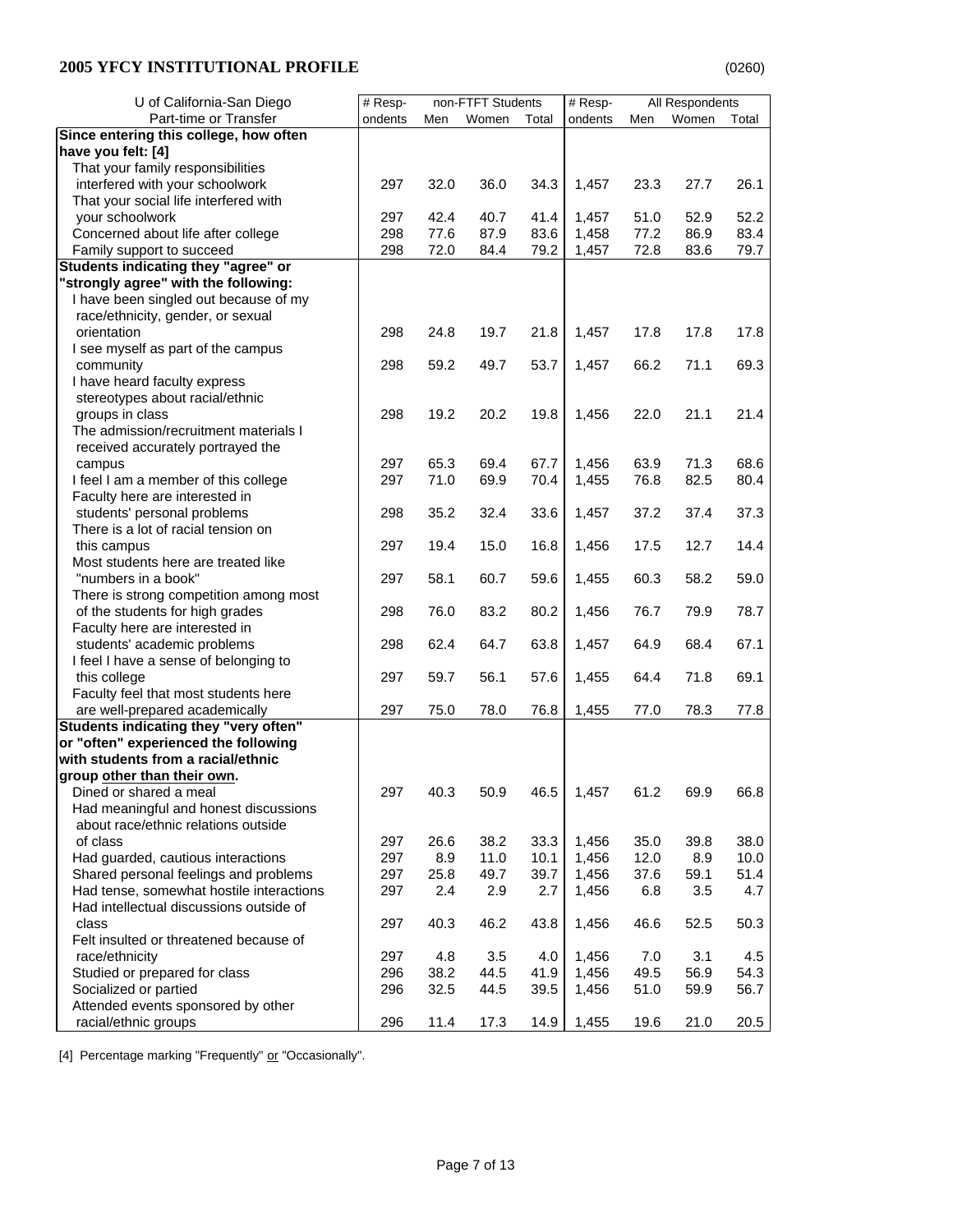| U of California-San Diego                                                     | # Resp- |             | non-FTFT Students |              | # Resp-        |              | All Respondents |       |
|-------------------------------------------------------------------------------|---------|-------------|-------------------|--------------|----------------|--------------|-----------------|-------|
| Part-time or Transfer                                                         | ondents | Men         | Women             | Total        | ondents        | Men          | Women           | Total |
| Since entering this college, how often                                        |         |             |                   |              |                |              |                 |       |
| have you felt: [4]                                                            |         |             |                   |              |                |              |                 |       |
| That your family responsibilities                                             |         |             |                   |              |                |              |                 |       |
| interfered with your schoolwork                                               | 297     | 32.0        | 36.0              | 34.3         | 1,457          | 23.3         | 27.7            | 26.1  |
| That your social life interfered with                                         |         |             |                   |              |                |              |                 |       |
| your schoolwork                                                               | 297     | 42.4        | 40.7              | 41.4         | 1,457          | 51.0         | 52.9            | 52.2  |
| Concerned about life after college                                            | 298     | 77.6        | 87.9              | 83.6         | 1,458          | 77.2         | 86.9            | 83.4  |
| Family support to succeed                                                     | 298     | 72.0        | 84.4              | 79.2         | 1,457          | 72.8         | 83.6            | 79.7  |
| Students indicating they "agree" or                                           |         |             |                   |              |                |              |                 |       |
| "strongly agree" with the following:                                          |         |             |                   |              |                |              |                 |       |
| I have been singled out because of my                                         |         |             |                   |              |                |              |                 |       |
| race/ethnicity, gender, or sexual                                             |         |             |                   |              |                |              |                 |       |
| orientation                                                                   | 298     | 24.8        | 19.7              | 21.8         | 1,457          | 17.8         | 17.8            | 17.8  |
| I see myself as part of the campus                                            |         |             |                   |              |                |              |                 |       |
| community                                                                     | 298     | 59.2        | 49.7              | 53.7         | 1,457          | 66.2         | 71.1            | 69.3  |
| I have heard faculty express                                                  |         |             |                   |              |                |              |                 |       |
| stereotypes about racial/ethnic                                               |         |             |                   |              |                |              |                 |       |
| groups in class                                                               | 298     | 19.2        | 20.2              | 19.8         | 1,456          | 22.0         | 21.1            | 21.4  |
| The admission/recruitment materials I                                         |         |             |                   |              |                |              |                 |       |
| received accurately portrayed the                                             |         |             |                   |              |                |              |                 |       |
| campus                                                                        | 297     | 65.3        | 69.4              | 67.7         | 1,456          | 63.9         | 71.3            | 68.6  |
| I feel I am a member of this college                                          | 297     | 71.0        | 69.9              | 70.4         | 1,455          | 76.8         | 82.5            | 80.4  |
| Faculty here are interested in                                                |         |             |                   |              |                |              |                 |       |
| students' personal problems                                                   | 298     | 35.2        | 32.4              | 33.6         | 1,457          | 37.2         | 37.4            | 37.3  |
| There is a lot of racial tension on                                           |         |             |                   |              |                |              |                 |       |
| this campus                                                                   | 297     | 19.4        | 15.0              | 16.8         | 1,456          | 17.5         | 12.7            | 14.4  |
| Most students here are treated like                                           |         |             |                   |              |                |              |                 |       |
| "numbers in a book"                                                           | 297     | 58.1        | 60.7              | 59.6         | 1,455          | 60.3         | 58.2            | 59.0  |
| There is strong competition among most                                        |         |             |                   |              |                |              |                 |       |
| of the students for high grades                                               | 298     | 76.0        | 83.2              | 80.2         | 1,456          | 76.7         | 79.9            | 78.7  |
| Faculty here are interested in                                                |         |             |                   |              |                |              |                 |       |
| students' academic problems                                                   | 298     | 62.4        | 64.7              | 63.8         | 1,457          | 64.9         | 68.4            | 67.1  |
| I feel I have a sense of belonging to                                         |         |             |                   |              |                |              |                 |       |
| this college                                                                  | 297     | 59.7        | 56.1              | 57.6         | 1,455          | 64.4         | 71.8            | 69.1  |
| Faculty feel that most students here                                          |         |             |                   |              |                |              |                 |       |
| are well-prepared academically                                                | 297     | 75.0        | 78.0              | 76.8         | 1,455          | 77.0         | 78.3            | 77.8  |
| Students indicating they "very often"<br>or "often" experienced the following |         |             |                   |              |                |              |                 |       |
| with students from a racial/ethnic                                            |         |             |                   |              |                |              |                 |       |
| group other than their own.                                                   |         |             |                   |              |                |              |                 |       |
| Dined or shared a meal                                                        | 297     | 40.3        | 50.9              | 46.5         | 1,457          | 61.2         | 69.9            | 66.8  |
| Had meaningful and honest discussions                                         |         |             |                   |              |                |              |                 |       |
| about race/ethnic relations outside                                           |         |             |                   |              |                |              |                 |       |
| of class                                                                      | 297     |             | 38.2              | 33.3         |                |              |                 | 38.0  |
| Had guarded, cautious interactions                                            | 297     | 26.6<br>8.9 | 11.0              |              | 1,456<br>1,456 | 35.0<br>12.0 | 39.8            | 10.0  |
| Shared personal feelings and problems                                         | 297     | 25.8        | 49.7              | 10.1<br>39.7 | 1,456          | 37.6         | 8.9<br>59.1     | 51.4  |
| Had tense, somewhat hostile interactions                                      | 297     | 2.4         | 2.9               | 2.7          | 1,456          | 6.8          | 3.5             | 4.7   |
| Had intellectual discussions outside of                                       |         |             |                   |              |                |              |                 |       |
| class                                                                         | 297     | 40.3        | 46.2              | 43.8         | 1,456          | 46.6         | 52.5            | 50.3  |
| Felt insulted or threatened because of                                        |         |             |                   |              |                |              |                 |       |
| race/ethnicity                                                                | 297     | 4.8         | 3.5               | 4.0          | 1,456          | 7.0          | 3.1             | 4.5   |
| Studied or prepared for class                                                 | 296     | 38.2        | 44.5              | 41.9         | 1,456          | 49.5         | 56.9            | 54.3  |
| Socialized or partied                                                         | 296     | 32.5        | 44.5              | 39.5         | 1,456          | 51.0         | 59.9            | 56.7  |
| Attended events sponsored by other                                            |         |             |                   |              |                |              |                 |       |
| racial/ethnic groups                                                          | 296     | 11.4        | 17.3              | 14.9         | 1,455          | 19.6         | 21.0            | 20.5  |
|                                                                               |         |             |                   |              |                |              |                 |       |

[4] Percentage marking "Frequently" or "Occasionally".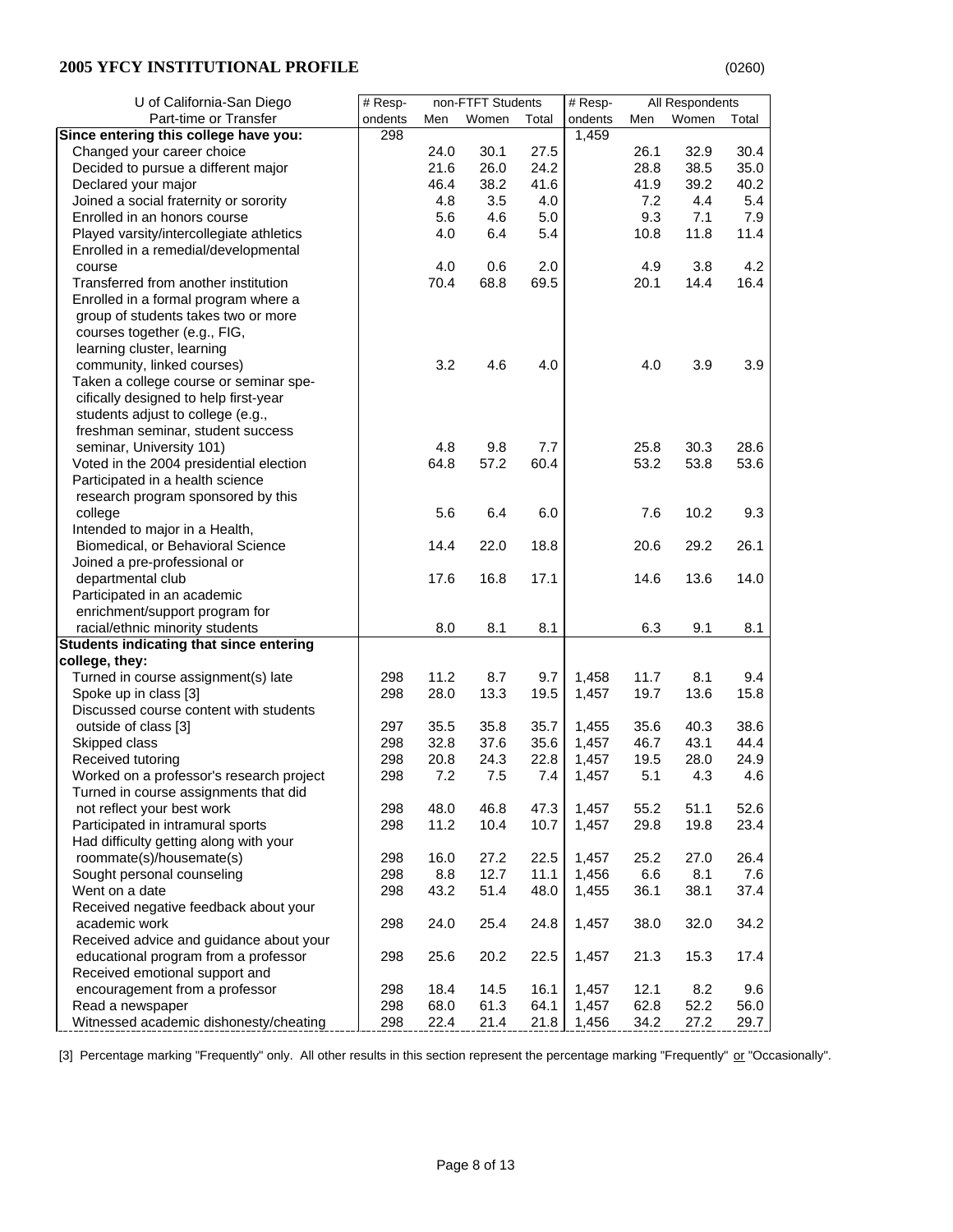| U of California-San Diego                                                        | $#$ Resp- |      | non-FTFT Students |       | # Resp-<br><b>All Respondents</b> |             |       |       |  |
|----------------------------------------------------------------------------------|-----------|------|-------------------|-------|-----------------------------------|-------------|-------|-------|--|
| Part-time or Transfer                                                            | ondents   | Men  | Women             | Total | ondents                           | Men         | Women | Total |  |
| Since entering this college have you:                                            | 298       |      |                   |       | 1,459                             |             |       |       |  |
| Changed your career choice                                                       |           | 24.0 | 30.1              | 27.5  |                                   | 26.1        | 32.9  | 30.4  |  |
| Decided to pursue a different major                                              |           | 21.6 | 26.0              | 24.2  |                                   | 28.8        | 38.5  | 35.0  |  |
| Declared your major                                                              |           | 46.4 | 38.2              | 41.6  |                                   | 41.9        | 39.2  | 40.2  |  |
| Joined a social fraternity or sorority                                           |           | 4.8  | 3.5               | 4.0   |                                   | 7.2         | 4.4   | 5.4   |  |
| Enrolled in an honors course                                                     |           | 5.6  | 4.6               | 5.0   |                                   | 9.3         | 7.1   | 7.9   |  |
|                                                                                  |           | 4.0  |                   | 5.4   |                                   | 10.8        | 11.8  | 11.4  |  |
| Played varsity/intercollegiate athletics<br>Enrolled in a remedial/developmental |           |      | 6.4               |       |                                   |             |       |       |  |
| course                                                                           |           | 4.0  |                   | 2.0   |                                   |             | 3.8   | 4.2   |  |
| Transferred from another institution                                             |           | 70.4 | 0.6<br>68.8       | 69.5  |                                   | 4.9<br>20.1 | 14.4  | 16.4  |  |
|                                                                                  |           |      |                   |       |                                   |             |       |       |  |
| Enrolled in a formal program where a                                             |           |      |                   |       |                                   |             |       |       |  |
| group of students takes two or more                                              |           |      |                   |       |                                   |             |       |       |  |
| courses together (e.g., FIG,                                                     |           |      |                   |       |                                   |             |       |       |  |
| learning cluster, learning                                                       |           |      |                   |       |                                   |             |       |       |  |
| community, linked courses)                                                       |           | 3.2  | 4.6               | 4.0   |                                   | 4.0         | 3.9   | 3.9   |  |
| Taken a college course or seminar spe-                                           |           |      |                   |       |                                   |             |       |       |  |
| cifically designed to help first-year                                            |           |      |                   |       |                                   |             |       |       |  |
| students adjust to college (e.g.,                                                |           |      |                   |       |                                   |             |       |       |  |
| freshman seminar, student success                                                |           |      |                   |       |                                   |             |       |       |  |
| seminar, University 101)                                                         |           | 4.8  | 9.8               | 7.7   |                                   | 25.8        | 30.3  | 28.6  |  |
| Voted in the 2004 presidential election                                          |           | 64.8 | 57.2              | 60.4  |                                   | 53.2        | 53.8  | 53.6  |  |
| Participated in a health science                                                 |           |      |                   |       |                                   |             |       |       |  |
| research program sponsored by this                                               |           |      |                   |       |                                   |             |       |       |  |
| college                                                                          |           | 5.6  | 6.4               | 6.0   |                                   | 7.6         | 10.2  | 9.3   |  |
| Intended to major in a Health,                                                   |           |      |                   |       |                                   |             |       |       |  |
| Biomedical, or Behavioral Science                                                |           | 14.4 | 22.0              | 18.8  |                                   | 20.6        | 29.2  | 26.1  |  |
| Joined a pre-professional or                                                     |           |      |                   |       |                                   |             |       |       |  |
| departmental club                                                                |           | 17.6 | 16.8              | 17.1  |                                   | 14.6        | 13.6  | 14.0  |  |
| Participated in an academic                                                      |           |      |                   |       |                                   |             |       |       |  |
| enrichment/support program for                                                   |           |      |                   |       |                                   |             |       |       |  |
| racial/ethnic minority students                                                  |           | 8.0  | 8.1               | 8.1   |                                   | 6.3         | 9.1   | 8.1   |  |
| <b>Students indicating that since entering</b>                                   |           |      |                   |       |                                   |             |       |       |  |
| college, they:                                                                   |           |      |                   |       |                                   |             |       |       |  |
| Turned in course assignment(s) late                                              | 298       | 11.2 | 8.7               | 9.7   | 1,458                             | 11.7        | 8.1   | 9.4   |  |
| Spoke up in class [3]                                                            | 298       | 28.0 | 13.3              | 19.5  | 1,457                             | 19.7        | 13.6  | 15.8  |  |
| Discussed course content with students                                           |           |      |                   |       |                                   |             |       |       |  |
| outside of class [3]                                                             | 297       | 35.5 | 35.8              | 35.7  | 1,455                             | 35.6        | 40.3  | 38.6  |  |
| Skipped class                                                                    | 298       | 32.8 | 37.6              | 35.6  | 1,457                             | 46.7        | 43.1  | 44.4  |  |
| Received tutoring                                                                | 298       | 20.8 | 24.3              | 22.8  | 1,457                             | 19.5        | 28.0  | 24.9  |  |
| Worked on a professor's research project                                         | 298       | 7.2  | 7.5               | 7.4   | 1,457                             | 5.1         | 4.3   | 4.6   |  |
| Turned in course assignments that did                                            |           |      |                   |       |                                   |             |       |       |  |
| not reflect your best work                                                       | 298       | 48.0 | 46.8              | 47.3  | 1,457                             | 55.2        | 51.1  | 52.6  |  |
| Participated in intramural sports                                                | 298       | 11.2 | 10.4              | 10.7  | 1,457                             | 29.8        | 19.8  | 23.4  |  |
| Had difficulty getting along with your                                           |           |      |                   |       |                                   |             |       |       |  |
| roommate(s)/housemate(s)                                                         | 298       | 16.0 | 27.2              | 22.5  | 1,457                             | 25.2        | 27.0  | 26.4  |  |
| Sought personal counseling                                                       | 298       | 8.8  | 12.7              | 11.1  | 1,456                             | 6.6         | 8.1   | 7.6   |  |
| Went on a date                                                                   | 298       | 43.2 | 51.4              | 48.0  | 1,455                             | 36.1        | 38.1  | 37.4  |  |
| Received negative feedback about your                                            |           |      |                   |       |                                   |             |       |       |  |
| academic work                                                                    | 298       | 24.0 | 25.4              | 24.8  | 1,457                             | 38.0        | 32.0  | 34.2  |  |
| Received advice and guidance about your                                          |           |      |                   |       |                                   |             |       |       |  |
| educational program from a professor                                             | 298       | 25.6 | 20.2              | 22.5  | 1,457                             | 21.3        | 15.3  | 17.4  |  |
| Received emotional support and                                                   |           |      |                   |       |                                   |             |       |       |  |
| encouragement from a professor                                                   | 298       | 18.4 | 14.5              | 16.1  | 1,457                             | 12.1        | 8.2   | 9.6   |  |
| Read a newspaper                                                                 | 298       | 68.0 | 61.3              | 64.1  | 1,457                             | 62.8        | 52.2  | 56.0  |  |
| Witnessed academic dishonesty/cheating                                           | 298       | 22.4 | 21.4              | 21.8  | 1,456                             | 34.2        | 27.2  | 29.7  |  |

[3] Percentage marking "Frequently" only. All other results in this section represent the percentage marking "Frequently" or "Occasionally".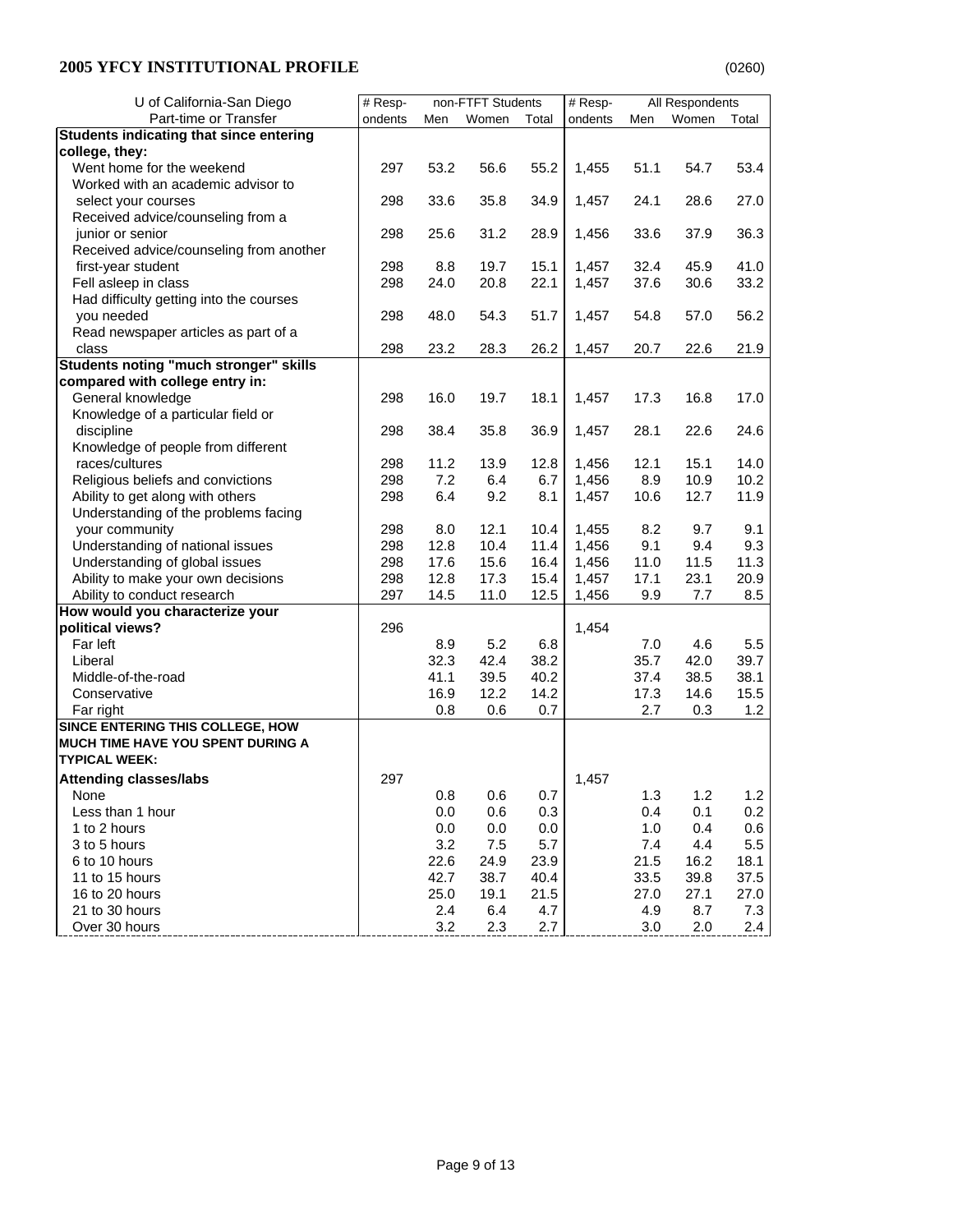| U of California-San Diego                      | # Resp- |      | non-FTFT Students |       | # Resp- |      | All Respondents |       |
|------------------------------------------------|---------|------|-------------------|-------|---------|------|-----------------|-------|
| Part-time or Transfer                          | ondents | Men  | Women             | Total | ondents | Men  | Women           | Total |
| <b>Students indicating that since entering</b> |         |      |                   |       |         |      |                 |       |
| college, they:                                 |         |      |                   |       |         |      |                 |       |
| Went home for the weekend                      | 297     | 53.2 | 56.6              | 55.2  | 1,455   | 51.1 | 54.7            | 53.4  |
| Worked with an academic advisor to             |         |      |                   |       |         |      |                 |       |
| select your courses                            | 298     | 33.6 | 35.8              | 34.9  | 1,457   | 24.1 | 28.6            | 27.0  |
| Received advice/counseling from a              |         |      |                   |       |         |      |                 |       |
| junior or senior                               | 298     | 25.6 | 31.2              | 28.9  | 1,456   | 33.6 | 37.9            | 36.3  |
| Received advice/counseling from another        |         |      |                   |       |         |      |                 |       |
| first-year student                             | 298     | 8.8  | 19.7              | 15.1  | 1,457   | 32.4 | 45.9            | 41.0  |
| Fell asleep in class                           | 298     | 24.0 | 20.8              | 22.1  | 1,457   | 37.6 | 30.6            | 33.2  |
| Had difficulty getting into the courses        |         |      |                   |       |         |      |                 |       |
| you needed                                     | 298     | 48.0 | 54.3              | 51.7  | 1,457   | 54.8 | 57.0            | 56.2  |
| Read newspaper articles as part of a           |         |      |                   |       |         |      |                 |       |
| class                                          | 298     | 23.2 | 28.3              | 26.2  | 1,457   | 20.7 | 22.6            | 21.9  |
| <b>Students noting "much stronger" skills</b>  |         |      |                   |       |         |      |                 |       |
| compared with college entry in:                |         |      |                   |       |         |      |                 |       |
| General knowledge                              | 298     | 16.0 | 19.7              | 18.1  | 1,457   | 17.3 | 16.8            | 17.0  |
| Knowledge of a particular field or             |         |      |                   |       |         |      |                 |       |
| discipline                                     | 298     | 38.4 | 35.8              | 36.9  | 1,457   | 28.1 | 22.6            | 24.6  |
| Knowledge of people from different             |         |      |                   |       |         |      |                 |       |
| races/cultures                                 | 298     | 11.2 | 13.9              | 12.8  | 1,456   | 12.1 | 15.1            | 14.0  |
| Religious beliefs and convictions              | 298     | 7.2  | 6.4               | 6.7   | 1,456   | 8.9  | 10.9            | 10.2  |
| Ability to get along with others               | 298     | 6.4  | 9.2               | 8.1   | 1,457   | 10.6 | 12.7            | 11.9  |
| Understanding of the problems facing           |         |      |                   |       |         |      |                 |       |
| your community                                 | 298     | 8.0  | 12.1              | 10.4  | 1,455   | 8.2  | 9.7             | 9.1   |
| Understanding of national issues               | 298     | 12.8 | 10.4              | 11.4  | 1,456   | 9.1  | 9.4             | 9.3   |
| Understanding of global issues                 | 298     | 17.6 | 15.6              | 16.4  | 1,456   | 11.0 | 11.5            | 11.3  |
| Ability to make your own decisions             | 298     | 12.8 | 17.3              | 15.4  | 1,457   | 17.1 | 23.1            | 20.9  |
| Ability to conduct research                    | 297     | 14.5 | 11.0              | 12.5  | 1,456   | 9.9  | 7.7             | 8.5   |
| How would you characterize your                |         |      |                   |       |         |      |                 |       |
| political views?                               | 296     |      |                   |       | 1,454   |      |                 |       |
| Far left                                       |         | 8.9  | 5.2               | 6.8   |         | 7.0  | 4.6             | 5.5   |
| Liberal                                        |         | 32.3 | 42.4              | 38.2  |         | 35.7 | 42.0            | 39.7  |
| Middle-of-the-road                             |         | 41.1 | 39.5              | 40.2  |         | 37.4 | 38.5            | 38.1  |
| Conservative                                   |         | 16.9 | 12.2              | 14.2  |         | 17.3 | 14.6            | 15.5  |
|                                                |         | 0.8  | 0.6               | 0.7   |         | 2.7  | 0.3             | 1.2   |
| Far right<br>SINCE ENTERING THIS COLLEGE, HOW  |         |      |                   |       |         |      |                 |       |
| MUCH TIME HAVE YOU SPENT DURING A              |         |      |                   |       |         |      |                 |       |
| <b>TYPICAL WEEK:</b>                           |         |      |                   |       |         |      |                 |       |
|                                                |         |      |                   |       |         |      |                 |       |
| <b>Attending classes/labs</b>                  | 297     |      |                   |       | 1,457   |      |                 |       |
| None                                           |         | 0.8  | 0.6               | 0.7   |         | 1.3  | 1.2             | 1.2   |
| Less than 1 hour                               |         | 0.0  | 0.6               | 0.3   |         | 0.4  | 0.1             | 0.2   |
| 1 to 2 hours                                   |         | 0.0  | 0.0               | 0.0   |         | 1.0  | 0.4             | 0.6   |
| 3 to 5 hours                                   |         | 3.2  | 7.5               | 5.7   |         | 7.4  | 4.4             | 5.5   |
| 6 to 10 hours                                  |         | 22.6 | 24.9              | 23.9  |         | 21.5 | 16.2            | 18.1  |
| 11 to 15 hours                                 |         | 42.7 | 38.7              | 40.4  |         | 33.5 | 39.8            | 37.5  |
| 16 to 20 hours                                 |         | 25.0 | 19.1              | 21.5  |         | 27.0 | 27.1            | 27.0  |
| 21 to 30 hours                                 |         | 2.4  | 6.4               | 4.7   |         | 4.9  | 8.7             | 7.3   |
| Over 30 hours                                  |         | 3.2  | 2.3               | 2.7   |         | 3.0  | 2.0             | 2.4   |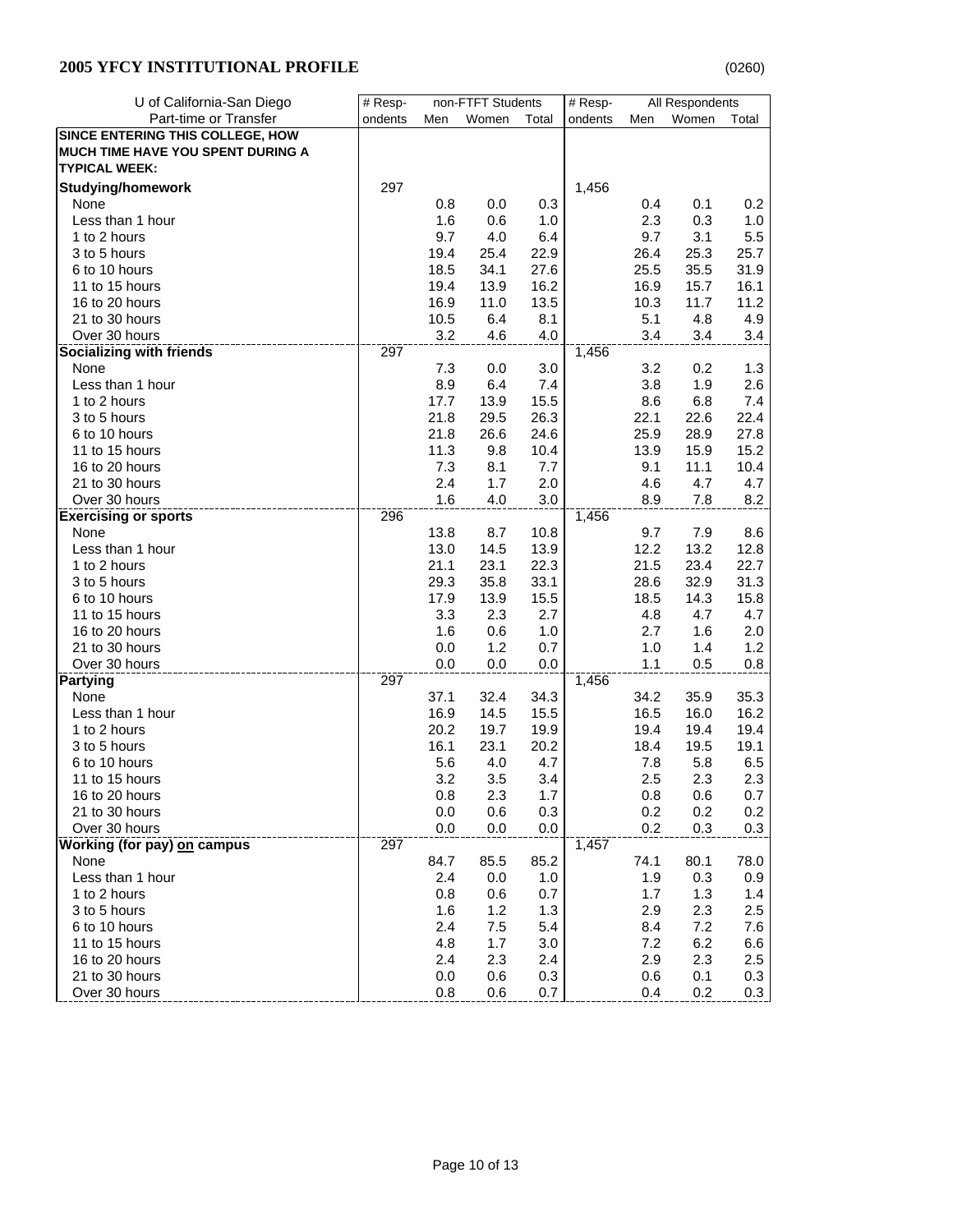| U of California-San Diego               | $#$ Resp- |      | non-FTFT Students |       | # Resp-            |      |                          |         |
|-----------------------------------------|-----------|------|-------------------|-------|--------------------|------|--------------------------|---------|
| Part-time or Transfer                   | ondents   | Men  | Women             | Total | ondents            | Men  | All Respondents<br>Women | Total   |
| <b>SINCE ENTERING THIS COLLEGE, HOW</b> |           |      |                   |       |                    |      |                          |         |
| MUCH TIME HAVE YOU SPENT DURING A       |           |      |                   |       |                    |      |                          |         |
| <b>TYPICAL WEEK:</b>                    |           |      |                   |       |                    |      |                          |         |
|                                         |           |      |                   |       |                    |      |                          |         |
| <b>Studying/homework</b>                | 297       |      |                   |       | 1,456              |      |                          |         |
| None                                    |           | 0.8  | 0.0               | 0.3   |                    | 0.4  | 0.1                      | 0.2     |
| Less than 1 hour                        |           | 1.6  | 0.6               | 1.0   |                    | 2.3  | 0.3                      | 1.0     |
| 1 to 2 hours                            |           | 9.7  | 4.0               | 6.4   |                    | 9.7  | 3.1                      | 5.5     |
| 3 to 5 hours                            |           | 19.4 | 25.4              | 22.9  |                    | 26.4 | 25.3                     | 25.7    |
| 6 to 10 hours                           |           | 18.5 | 34.1              | 27.6  |                    | 25.5 | 35.5                     | 31.9    |
| 11 to 15 hours                          |           | 19.4 | 13.9              | 16.2  |                    | 16.9 | 15.7                     | 16.1    |
| 16 to 20 hours                          |           | 16.9 | 11.0              | 13.5  |                    | 10.3 | 11.7                     | 11.2    |
| 21 to 30 hours                          |           | 10.5 | 6.4               | 8.1   |                    | 5.1  | 4.8                      | 4.9     |
| Over 30 hours                           |           | 3.2  | 4.6               | 4.0   |                    | 3.4  | 3.4                      | 3.4     |
| <b>Socializing with friends</b>         | 297       |      |                   |       | 1,456              |      |                          |         |
| None                                    |           | 7.3  | 0.0               | 3.0   |                    | 3.2  | 0.2                      | 1.3     |
| Less than 1 hour                        |           | 8.9  | 6.4               | 7.4   |                    | 3.8  | 1.9                      | 2.6     |
| 1 to 2 hours                            |           | 17.7 | 13.9              | 15.5  |                    | 8.6  | 6.8                      | 7.4     |
| 3 to 5 hours                            |           | 21.8 | 29.5              | 26.3  |                    | 22.1 | 22.6                     | 22.4    |
| 6 to 10 hours                           |           | 21.8 | 26.6              | 24.6  |                    | 25.9 | 28.9                     | 27.8    |
| 11 to 15 hours                          |           | 11.3 | 9.8               | 10.4  |                    | 13.9 | 15.9                     | 15.2    |
| 16 to 20 hours                          |           | 7.3  | 8.1               | 7.7   |                    | 9.1  | 11.1                     | 10.4    |
| 21 to 30 hours                          |           | 2.4  | 1.7               | 2.0   |                    | 4.6  | 4.7                      | 4.7     |
| Over 30 hours                           |           | 1.6  | 4.0               | 3.0   |                    | 8.9  | 7.8                      | 8.2     |
| <b>Exercising or sports</b>             | 296       |      |                   |       | 1,456              |      |                          |         |
| None                                    |           | 13.8 | 8.7               | 10.8  |                    | 9.7  | 7.9                      | $8.6\,$ |
| Less than 1 hour                        |           | 13.0 | 14.5              | 13.9  |                    | 12.2 | 13.2                     | 12.8    |
| 1 to 2 hours                            |           | 21.1 | 23.1              | 22.3  |                    | 21.5 | 23.4                     | 22.7    |
| 3 to 5 hours                            |           | 29.3 | 35.8              | 33.1  |                    | 28.6 | 32.9                     | 31.3    |
| 6 to 10 hours                           |           | 17.9 | 13.9              | 15.5  |                    | 18.5 | 14.3                     | 15.8    |
| 11 to 15 hours                          |           | 3.3  | 2.3               | 2.7   |                    | 4.8  | 4.7                      | 4.7     |
| 16 to 20 hours                          |           | 1.6  | 0.6               | 1.0   |                    | 2.7  | 1.6                      | 2.0     |
| 21 to 30 hours                          |           | 0.0  | 1.2               | 0.7   |                    | 1.0  | 1.4                      | 1.2     |
| Over 30 hours                           |           | 0.0  | 0.0               | 0.0   |                    | 1.1  | 0.5                      | 0.8     |
| <b>Partying</b>                         | 297       |      |                   |       | 1,456              |      |                          |         |
| None                                    |           | 37.1 | 32.4              | 34.3  |                    | 34.2 | 35.9                     | 35.3    |
| Less than 1 hour                        |           | 16.9 | 14.5              | 15.5  |                    | 16.5 | 16.0                     | 16.2    |
| 1 to 2 hours                            |           | 20.2 | 19.7              | 19.9  |                    | 19.4 | 19.4                     | 19.4    |
| 3 to 5 hours                            |           | 16.1 | 23.1              | 20.2  |                    | 18.4 | 19.5                     | 19.1    |
| 6 to 10 hours                           |           | 5.6  | 4.0               | 4.7   |                    | 7.8  | 5.8                      | 6.5     |
| 11 to 15 hours                          |           | 3.2  | 3.5               | 3.4   |                    | 2.5  | 2.3                      | 2.3     |
| 16 to 20 hours                          |           | 0.8  | 2.3               | 1.7   |                    | 0.8  | 0.6                      | 0.7     |
| 21 to 30 hours                          |           | 0.0  | 0.6               | 0.3   |                    | 0.2  | 0.2                      | 0.2     |
| Over 30 hours                           |           | 0.0  | 0.0               | 0.0   |                    | 0.2  | 0.3                      | $0.3\,$ |
| <b>Working (for pay) on campus</b>      | 297       |      |                   |       | $\overline{1,457}$ |      |                          |         |
| None                                    |           | 84.7 | 85.5              | 85.2  |                    | 74.1 | 80.1                     | 78.0    |
| Less than 1 hour                        |           | 2.4  | 0.0               | 1.0   |                    | 1.9  | 0.3                      | 0.9     |
| 1 to 2 hours                            |           | 0.8  | 0.6               | 0.7   |                    | 1.7  | 1.3                      | $1.4$   |
| 3 to 5 hours                            |           | 1.6  | 1.2               | 1.3   |                    | 2.9  | 2.3                      | 2.5     |
| 6 to 10 hours                           |           | 2.4  | 7.5               | 5.4   |                    | 8.4  | 7.2                      | 7.6     |
| 11 to 15 hours                          |           | 4.8  | 1.7               | 3.0   |                    | 7.2  | 6.2                      | 6.6     |
| 16 to 20 hours                          |           | 2.4  | 2.3               | 2.4   |                    | 2.9  | 2.3                      | 2.5     |
| 21 to 30 hours                          |           | 0.0  | 0.6               | 0.3   |                    | 0.6  | 0.1                      | 0.3     |
| Over 30 hours                           |           | 0.8  | 0.6               | 0.7   |                    | 0.4  | 0.2                      | $0.3\,$ |
|                                         |           |      |                   |       |                    |      |                          |         |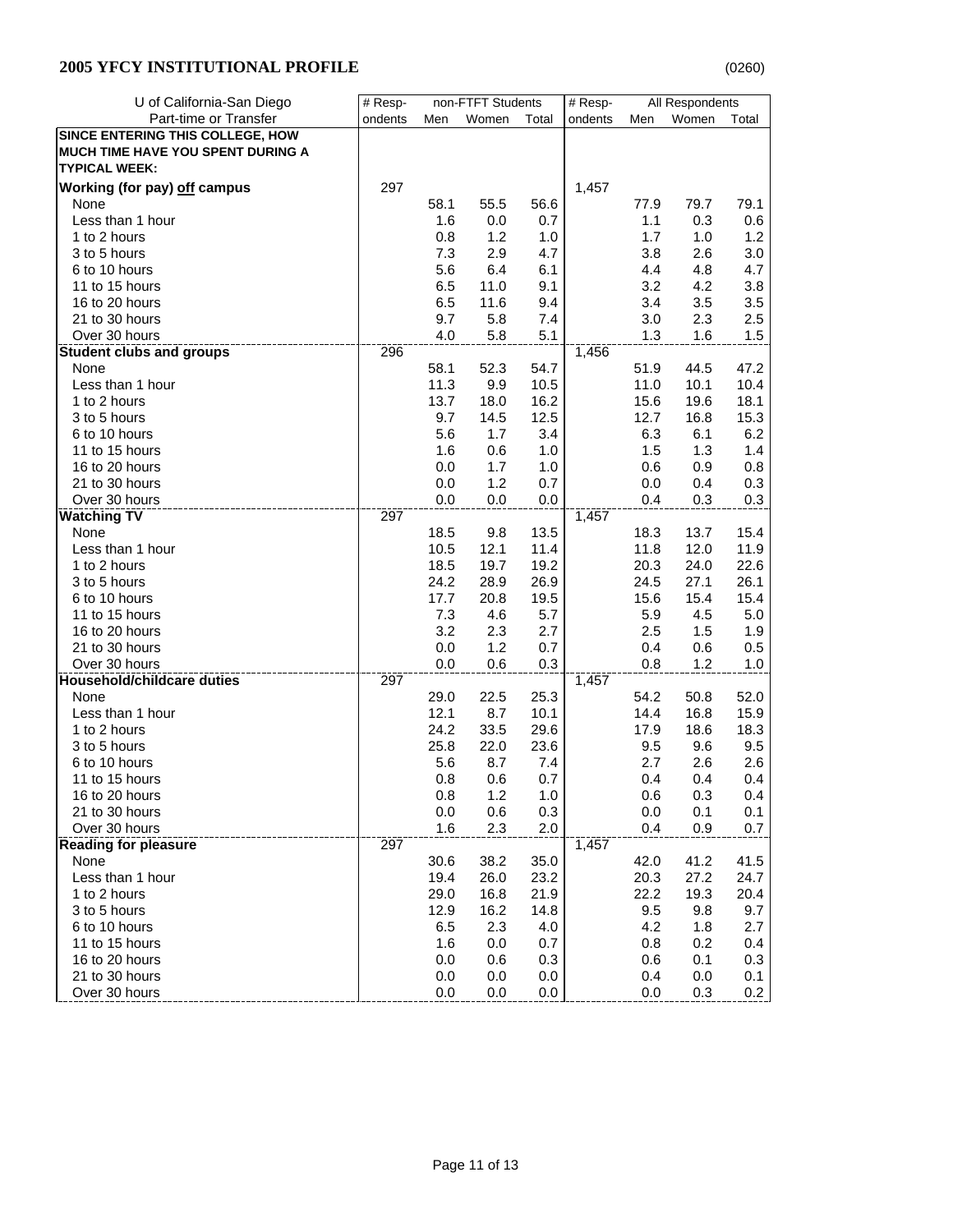| U of California-San Diego                | $#$ Resp- |      | non-FTFT Students |       | # Resp- |      |                          |       |
|------------------------------------------|-----------|------|-------------------|-------|---------|------|--------------------------|-------|
| Part-time or Transfer                    | ondents   | Men  | Women             | Total | ondents | Men  | All Respondents<br>Women | Total |
| <b>SINCE ENTERING THIS COLLEGE, HOW</b>  |           |      |                   |       |         |      |                          |       |
| <b>MUCH TIME HAVE YOU SPENT DURING A</b> |           |      |                   |       |         |      |                          |       |
| <b>TYPICAL WEEK:</b>                     |           |      |                   |       |         |      |                          |       |
|                                          |           |      |                   |       |         |      |                          |       |
| Working (for pay) off campus             | 297       |      |                   |       | 1,457   |      |                          |       |
| None                                     |           | 58.1 | 55.5              | 56.6  |         | 77.9 | 79.7                     | 79.1  |
| Less than 1 hour                         |           | 1.6  | 0.0               | 0.7   |         | 1.1  | 0.3                      | 0.6   |
| 1 to 2 hours                             |           | 0.8  | 1.2               | 1.0   |         | 1.7  | 1.0                      | 1.2   |
| 3 to 5 hours                             |           | 7.3  | 2.9               | 4.7   |         | 3.8  | 2.6                      | 3.0   |
| 6 to 10 hours                            |           | 5.6  | 6.4               | 6.1   |         | 4.4  | 4.8                      | 4.7   |
| 11 to 15 hours                           |           | 6.5  | 11.0              | 9.1   |         | 3.2  | 4.2                      | 3.8   |
| 16 to 20 hours                           |           | 6.5  | 11.6              | 9.4   |         | 3.4  | 3.5                      | 3.5   |
| 21 to 30 hours                           |           | 9.7  | 5.8               | 7.4   |         | 3.0  | 2.3                      | 2.5   |
| Over 30 hours                            |           | 4.0  | 5.8               | 5.1   |         | 1.3  | 1.6                      | 1.5   |
| <b>Student clubs and groups</b>          | 296       |      |                   |       | 1,456   |      |                          |       |
| None                                     |           | 58.1 | 52.3              | 54.7  |         | 51.9 | 44.5                     | 47.2  |
| Less than 1 hour                         |           | 11.3 | 9.9               | 10.5  |         | 11.0 | 10.1                     | 10.4  |
| 1 to 2 hours                             |           | 13.7 | 18.0              | 16.2  |         | 15.6 | 19.6                     | 18.1  |
| 3 to 5 hours                             |           | 9.7  | 14.5              | 12.5  |         | 12.7 | 16.8                     | 15.3  |
| 6 to 10 hours                            |           | 5.6  | 1.7               | 3.4   |         | 6.3  | 6.1                      | 6.2   |
| 11 to 15 hours                           |           | 1.6  | 0.6               | 1.0   |         | 1.5  | 1.3                      | 1.4   |
| 16 to 20 hours                           |           | 0.0  | 1.7               | 1.0   |         | 0.6  | 0.9                      | 0.8   |
| 21 to 30 hours                           |           | 0.0  | 1.2               | 0.7   |         | 0.0  | 0.4                      | 0.3   |
| Over 30 hours                            |           | 0.0  | 0.0               | 0.0   |         | 0.4  | 0.3                      | 0.3   |
| <b>Watching TV</b>                       | 297       |      |                   |       | 1,457   |      |                          |       |
| None                                     |           | 18.5 | 9.8               | 13.5  |         | 18.3 | 13.7                     | 15.4  |
| Less than 1 hour                         |           | 10.5 | 12.1              | 11.4  |         | 11.8 | 12.0                     | 11.9  |
| 1 to 2 hours                             |           | 18.5 | 19.7              | 19.2  |         | 20.3 | 24.0                     | 22.6  |
| 3 to 5 hours                             |           | 24.2 | 28.9              | 26.9  |         | 24.5 | 27.1                     | 26.1  |
| 6 to 10 hours                            |           | 17.7 | 20.8              | 19.5  |         | 15.6 | 15.4                     | 15.4  |
| 11 to 15 hours                           |           | 7.3  | 4.6               | 5.7   |         | 5.9  | 4.5                      | 5.0   |
| 16 to 20 hours                           |           | 3.2  | 2.3               | 2.7   |         | 2.5  | 1.5                      | 1.9   |
| 21 to 30 hours                           |           | 0.0  | 1.2               | 0.7   |         | 0.4  | 0.6                      | 0.5   |
| Over 30 hours                            |           | 0.0  | 0.6               | 0.3   |         | 0.8  | 1.2                      | 1.0   |
| <b>Household/childcare duties</b>        | 297       |      |                   |       | 1,457   |      |                          |       |
| None                                     |           | 29.0 | 22.5              | 25.3  |         | 54.2 | 50.8                     | 52.0  |
| Less than 1 hour                         |           | 12.1 | 8.7               | 10.1  |         | 14.4 | 16.8                     | 15.9  |
| 1 to 2 hours                             |           | 24.2 | 33.5              | 29.6  |         | 17.9 | 18.6                     | 18.3  |
| 3 to 5 hours                             |           | 25.8 | 22.0              | 23.6  |         | 9.5  | 9.6                      | 9.5   |
| 6 to 10 hours                            |           | 5.6  | 8.7               | 7.4   |         | 2.7  | 2.6                      | 2.6   |
| 11 to 15 hours                           |           | 0.8  | 0.6               | 0.7   |         | 0.4  | 0.4                      | 0.4   |
| 16 to 20 hours                           |           | 0.8  | 1.2               | 1.0   |         | 0.6  | 0.3                      | 0.4   |
| 21 to 30 hours                           |           | 0.0  | 0.6               | 0.3   |         | 0.0  | 0.1                      | 0.1   |
| Over 30 hours                            |           | 1.6  | 2.3               | 2.0   |         | 0.4  | 0.9                      | 0.7   |
| <b>Reading for pleasure</b>              | 297       |      |                   |       | 1,457   |      |                          |       |
| None                                     |           | 30.6 | 38.2              | 35.0  |         | 42.0 | 41.2                     | 41.5  |
| Less than 1 hour                         |           | 19.4 | 26.0              | 23.2  |         | 20.3 | 27.2                     | 24.7  |
| 1 to 2 hours                             |           | 29.0 | 16.8              | 21.9  |         | 22.2 | 19.3                     | 20.4  |
| 3 to 5 hours                             |           | 12.9 | 16.2              | 14.8  |         | 9.5  | 9.8                      | 9.7   |
| 6 to 10 hours                            |           | 6.5  | 2.3               | 4.0   |         | 4.2  | 1.8                      | 2.7   |
| 11 to 15 hours                           |           | 1.6  | 0.0               | 0.7   |         | 0.8  | 0.2                      | 0.4   |
| 16 to 20 hours                           |           | 0.0  | 0.6               | 0.3   |         | 0.6  | 0.1                      | 0.3   |
| 21 to 30 hours                           |           | 0.0  | 0.0               | 0.0   |         | 0.4  | 0.0                      | 0.1   |
| Over 30 hours                            |           | 0.0  | 0.0               | 0.0   |         | 0.0  | 0.3                      | 0.2   |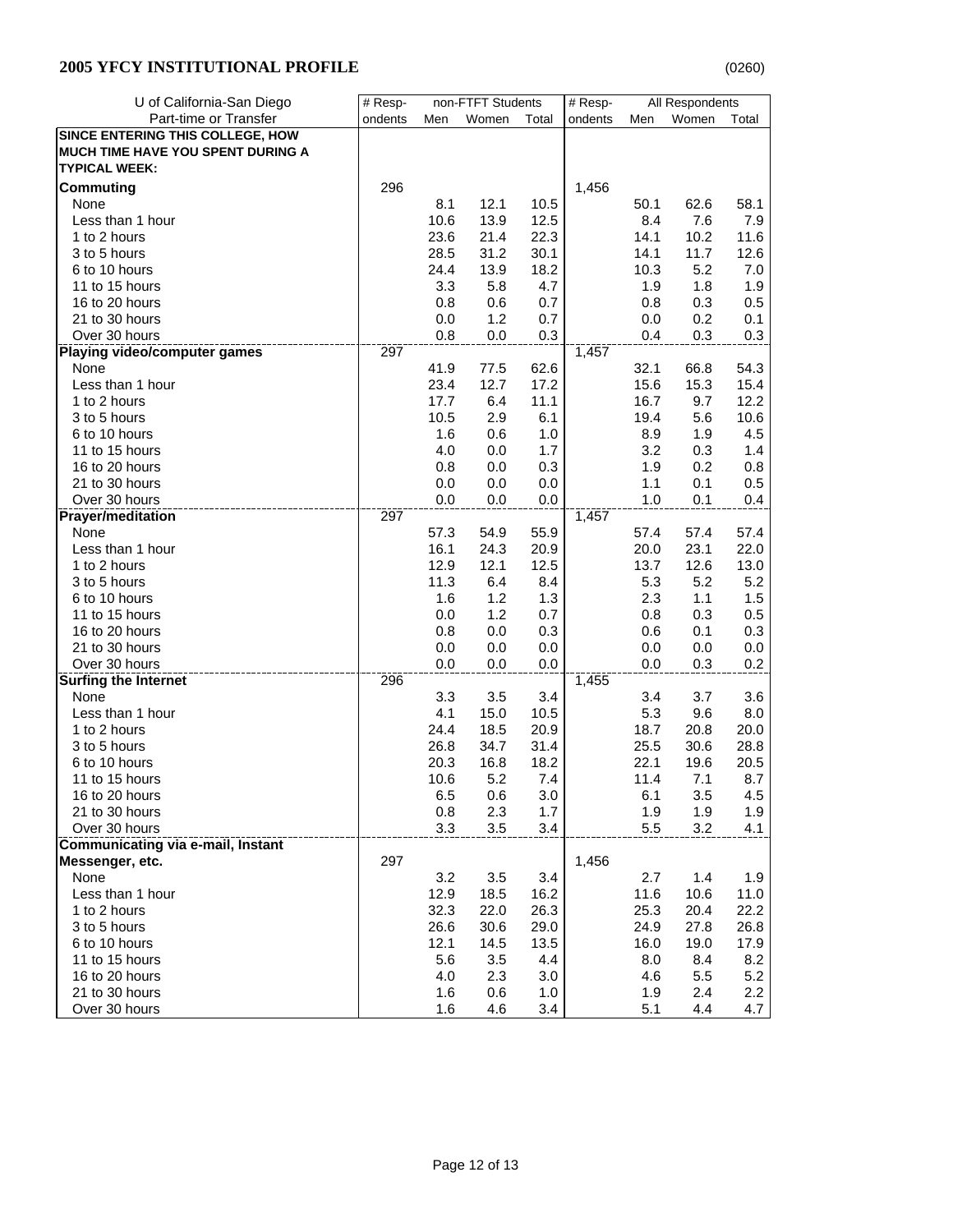| U of California-San Diego                | $#$ Resp- |      | non-FTFT Students |             | $#$ Resp-<br>All Respondents |      |             |             |
|------------------------------------------|-----------|------|-------------------|-------------|------------------------------|------|-------------|-------------|
| Part-time or Transfer                    | ondents   | Men  | Women             | Total       | ondents                      | Men  | Women       | Total       |
| <b>SINCE ENTERING THIS COLLEGE, HOW</b>  |           |      |                   |             |                              |      |             |             |
| MUCH TIME HAVE YOU SPENT DURING A        |           |      |                   |             |                              |      |             |             |
| <b>TYPICAL WEEK:</b>                     |           |      |                   |             |                              |      |             |             |
|                                          |           |      |                   |             |                              |      |             |             |
| Commuting                                | 296       |      |                   |             | 1,456                        |      |             |             |
| None                                     |           | 8.1  | 12.1              | 10.5        |                              | 50.1 | 62.6        | 58.1        |
| Less than 1 hour                         |           | 10.6 | 13.9              | 12.5        |                              | 8.4  | 7.6         | 7.9         |
| 1 to 2 hours                             |           | 23.6 | 21.4              | 22.3        |                              | 14.1 | 10.2        | 11.6        |
| 3 to 5 hours                             |           | 28.5 | 31.2              | 30.1        |                              | 14.1 | 11.7        | 12.6        |
| 6 to 10 hours                            |           | 24.4 | 13.9              | 18.2        |                              | 10.3 | 5.2         | 7.0         |
| 11 to 15 hours                           |           | 3.3  | 5.8               | 4.7         |                              | 1.9  | 1.8         | 1.9         |
| 16 to 20 hours                           |           | 0.8  | 0.6               | 0.7         |                              | 0.8  | 0.3         | 0.5         |
| 21 to 30 hours                           |           | 0.0  | 1.2               | 0.7         |                              | 0.0  | 0.2         | 0.1         |
| Over 30 hours                            |           | 0.8  | 0.0               | 0.3         |                              | 0.4  | 0.3         | 0.3         |
| Playing video/computer games             | 297       |      |                   |             | 1,457                        |      |             |             |
| None                                     |           | 41.9 | 77.5              | 62.6        |                              | 32.1 | 66.8        | 54.3        |
| Less than 1 hour                         |           | 23.4 | 12.7              | 17.2        |                              | 15.6 | 15.3        | 15.4        |
| 1 to 2 hours                             |           | 17.7 | 6.4               | 11.1        |                              | 16.7 | 9.7         | 12.2        |
| 3 to 5 hours                             |           | 10.5 | 2.9               | 6.1         |                              | 19.4 | 5.6         | 10.6        |
| 6 to 10 hours                            |           | 1.6  | 0.6               | 1.0         |                              | 8.9  | 1.9         | 4.5         |
| 11 to 15 hours                           |           | 4.0  | 0.0               | 1.7         |                              | 3.2  | 0.3         | 1.4         |
| 16 to 20 hours                           |           | 0.8  | 0.0               | 0.3         |                              | 1.9  | 0.2         | 0.8         |
| 21 to 30 hours                           |           | 0.0  | 0.0               | 0.0         |                              | 1.1  | 0.1         | 0.5         |
| Over 30 hours                            |           | 0.0  | 0.0               | 0.0         |                              | 1.0  | 0.1         | 0.4         |
| <b>Prayer/meditation</b>                 | 297       |      |                   |             | 1,457                        |      |             |             |
| None                                     |           | 57.3 | 54.9              | 55.9        |                              | 57.4 | 57.4        | 57.4        |
| Less than 1 hour                         |           | 16.1 | 24.3              | 20.9        |                              | 20.0 | 23.1        | 22.0        |
| 1 to 2 hours                             |           | 12.9 | 12.1              | 12.5        |                              | 13.7 | 12.6        | 13.0        |
| 3 to 5 hours                             |           | 11.3 | 6.4               | 8.4         |                              | 5.3  | 5.2         | 5.2         |
| 6 to 10 hours                            |           | 1.6  | 1.2               | 1.3         |                              | 2.3  | 1.1         | 1.5         |
| 11 to 15 hours                           |           | 0.0  | 1.2               | 0.7         |                              | 0.8  | 0.3         | 0.5         |
| 16 to 20 hours                           |           | 0.8  | 0.0               | 0.3         |                              | 0.6  | 0.1         | 0.3         |
| 21 to 30 hours                           |           | 0.0  | 0.0               | 0.0         |                              | 0.0  | 0.0         | 0.0         |
| Over 30 hours                            |           | 0.0  | 0.0               | 0.0         |                              | 0.0  | 0.3         | 0.2         |
| <b>Surfing the Internet</b>              | 296       |      |                   |             | 1,455                        |      |             |             |
| None                                     |           | 3.3  | 3.5               | 3.4         |                              | 3.4  | 3.7         | 3.6         |
| Less than 1 hour                         |           | 4.1  | 15.0              | 10.5        |                              | 5.3  | 9.6         | 8.0         |
| 1 to 2 hours                             |           | 24.4 |                   | 20.9        |                              | 18.7 | 20.8        |             |
|                                          |           |      | 18.5              |             |                              |      |             | 20.0        |
| 3 to 5 hours                             |           | 26.8 | 34.7              | 31.4        |                              | 25.5 | 30.6        | 28.8        |
| 6 to 10 hours<br>11 to 15 hours          |           | 20.3 | 16.8<br>5.2       | 18.2<br>7.4 |                              | 22.1 | 19.6<br>7.1 | 20.5<br>8.7 |
|                                          |           | 10.6 |                   |             |                              | 11.4 |             |             |
| 16 to 20 hours                           |           | 6.5  | 0.6               | 3.0         |                              | 6.1  | 3.5         | 4.5         |
| 21 to 30 hours                           |           | 0.8  | 2.3               | 1.7         |                              | 1.9  | 1.9         | 1.9         |
| Over 30 hours                            |           | 3.3  | 3.5               | $3.4\,$     |                              | 5.5  | 3.2         | 4.1         |
| <b>Communicating via e-mail, Instant</b> |           |      |                   |             |                              |      |             |             |
| Messenger, etc.                          | 297       |      |                   |             | 1,456                        |      |             |             |
| None                                     |           | 3.2  | 3.5               | 3.4         |                              | 2.7  | 1.4         | 1.9         |
| Less than 1 hour                         |           | 12.9 | 18.5              | 16.2        |                              | 11.6 | 10.6        | 11.0        |
| 1 to 2 hours                             |           | 32.3 | 22.0              | 26.3        |                              | 25.3 | 20.4        | 22.2        |
| 3 to 5 hours                             |           | 26.6 | 30.6              | 29.0        |                              | 24.9 | 27.8        | 26.8        |
| 6 to 10 hours                            |           | 12.1 | 14.5              | 13.5        |                              | 16.0 | 19.0        | 17.9        |
| 11 to 15 hours                           |           | 5.6  | 3.5               | 4.4         |                              | 8.0  | 8.4         | 8.2         |
| 16 to 20 hours                           |           | 4.0  | 2.3               | 3.0         |                              | 4.6  | 5.5         | 5.2         |
| 21 to 30 hours                           |           | 1.6  | 0.6               | 1.0         |                              | 1.9  | 2.4         | 2.2         |
| Over 30 hours                            |           | 1.6  | 4.6               | 3.4         |                              | 5.1  | 4.4         | 4.7         |